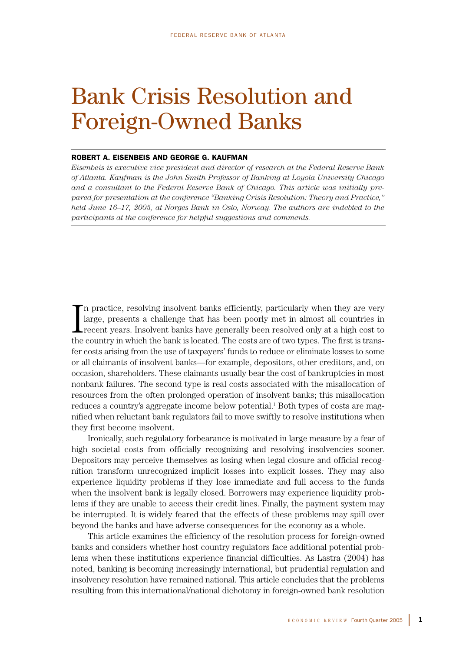# Bank Crisis Resolution and Foreign-Owned Banks

## ROBERT A. EISENBEIS AND GEORGE G. KAUFMAN

*Eisenbeis is executive vice president and director of research at the Federal Reserve Bank of Atlanta. Kaufman is the John Smith Professor of Banking at Loyola University Chicago and a consultant to the Federal Reserve Bank of Chicago. This article was initially prepared for presentation at the conference "Banking Crisis Resolution: Theory and Practice," held June 16–17, 2005, at Norges Bank in Oslo, Norway. The authors are indebted to the participants at the conference for helpful suggestions and comments.*

I n practice, resolving insolvent banks efficiently, particularly when they are very large, presents a challenge that has been poorly met in almost all countries in recent years. Insolvent banks have generally been resolved only at a high cost to the country in which the bank is located. The costs are of two types. The first is transfer costs arising from the use of taxpayers' funds to reduce or eliminate losses to some or all claimants of insolvent banks—for example, depositors, other creditors, and, on occasion, shareholders. These claimants usually bear the cost of bankruptcies in most nonbank failures. The second type is real costs associated with the misallocation of resources from the often prolonged operation of insolvent banks; this misallocation reduces a country's aggregate income below potential.<sup>1</sup> Both types of costs are magnified when reluctant bank regulators fail to move swiftly to resolve institutions when they first become insolvent.

Ironically, such regulatory forbearance is motivated in large measure by a fear of high societal costs from officially recognizing and resolving insolvencies sooner. Depositors may perceive themselves as losing when legal closure and official recognition transform unrecognized implicit losses into explicit losses. They may also experience liquidity problems if they lose immediate and full access to the funds when the insolvent bank is legally closed. Borrowers may experience liquidity problems if they are unable to access their credit lines. Finally, the payment system may be interrupted. It is widely feared that the effects of these problems may spill over beyond the banks and have adverse consequences for the economy as a whole.

This article examines the efficiency of the resolution process for foreign-owned banks and considers whether host country regulators face additional potential problems when these institutions experience financial difficulties. As Lastra (2004) has noted, banking is becoming increasingly international, but prudential regulation and insolvency resolution have remained national. This article concludes that the problems resulting from this international/national dichotomy in foreign-owned bank resolution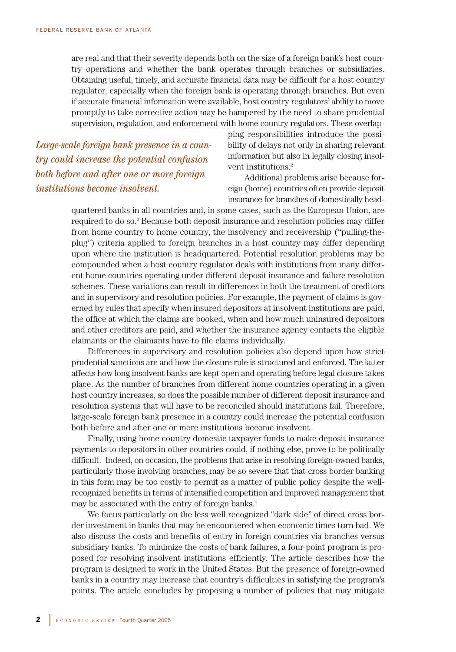are real and that their severity depends both on the size of a foreign bank's host country operations and whether the bank operates through branches or subsidiaries. Obtaining useful, timely, and accurate financial data may be difficult for a host country regulator, especially when the foreign bank is operating through branches. But even if accurate financial information were available, host country regulators' ability to move promptly to take corrective action may be hampered by the need to share prudential supervision, regulation, and enforcement with home country regulators. These overlap-

*Large-scale foreign bank presence in a country could increase the potential confusion both before and after one or more foreign institutions become insolvent.*

ping responsibilities introduce the possibility of delays not only in sharing relevant information but also in legally closing insolvent institutions.<sup>2</sup>

Additional problems arise because foreign (home) countries often provide deposit insurance for branches of domestically head-

quartered banks in all countries and, in some cases, such as the European Union, are required to do so.<sup>3</sup> Because both deposit insurance and resolution policies may differ from home country to home country, the insolvency and receivership ("pulling-theplug") criteria applied to foreign branches in a host country may differ depending upon where the institution is headquartered. Potential resolution problems may be compounded when a host country regulator deals with institutions from many different home countries operating under different deposit insurance and failure resolution schemes. These variations can result in differences in both the treatment of creditors and in supervisory and resolution policies. For example, the payment of claims is governed by rules that specify when insured depositors at insolvent institutions are paid, the office at which the claims are booked, when and how much uninsured depositors and other creditors are paid, and whether the insurance agency contacts the eligible claimants or the claimants have to file claims individually.

Differences in supervisory and resolution policies also depend upon how strict prudential sanctions are and how the closure rule is structured and enforced. The latter affects how long insolvent banks are kept open and operating before legal closure takes place. As the number of branches from different home countries operating in a given host country increases, so does the possible number of different deposit insurance and resolution systems that will have to be reconciled should institutions fail. Therefore, large-scale foreign bank presence in a country could increase the potential confusion both before and after one or more institutions become insolvent.

Finally, using home country domestic taxpayer funds to make deposit insurance payments to depositors in other countries could, if nothing else, prove to be politically difficult. Indeed, on occasion, the problems that arise in resolving foreign-owned banks, particularly those involving branches, may be so severe that that cross border banking in this form may be too costly to permit as a matter of public policy despite the wellrecognized benefits in terms of intensified competition and improved management that may be associated with the entry of foreign banks.4

We focus particularly on the less well recognized "dark side" of direct cross border investment in banks that may be encountered when economic times turn bad. We also discuss the costs and benefits of entry in foreign countries via branches versus subsidiary banks. To minimize the costs of bank failures, a four-point program is proposed for resolving insolvent institutions efficiently. The article describes how the program is designed to work in the United States. But the presence of foreign-owned banks in a country may increase that country's difficulties in satisfying the program's points. The article concludes by proposing a number of policies that may mitigate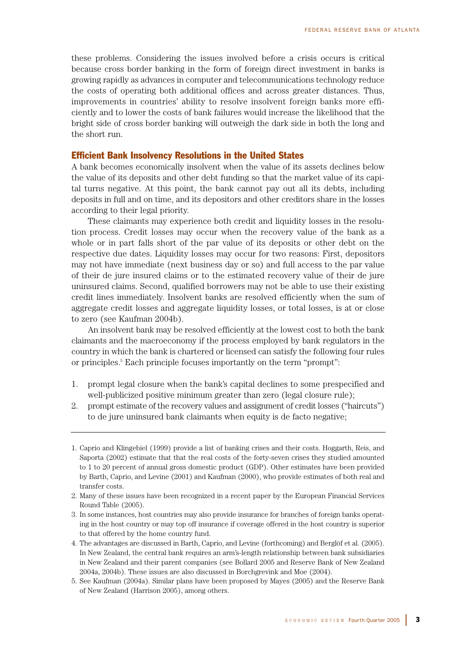these problems. Considering the issues involved before a crisis occurs is critical because cross border banking in the form of foreign direct investment in banks is growing rapidly as advances in computer and telecommunications technology reduce the costs of operating both additional offices and across greater distances. Thus, improvements in countries' ability to resolve insolvent foreign banks more efficiently and to lower the costs of bank failures would increase the likelihood that the bright side of cross border banking will outweigh the dark side in both the long and the short run.

## Efficient Bank Insolvency Resolutions in the United States

A bank becomes economically insolvent when the value of its assets declines below the value of its deposits and other debt funding so that the market value of its capital turns negative. At this point, the bank cannot pay out all its debts, including deposits in full and on time, and its depositors and other creditors share in the losses according to their legal priority.

These claimants may experience both credit and liquidity losses in the resolution process. Credit losses may occur when the recovery value of the bank as a whole or in part falls short of the par value of its deposits or other debt on the respective due dates. Liquidity losses may occur for two reasons: First, depositors may not have immediate (next business day or so) and full access to the par value of their de jure insured claims or to the estimated recovery value of their de jure uninsured claims. Second, qualified borrowers may not be able to use their existing credit lines immediately. Insolvent banks are resolved efficiently when the sum of aggregate credit losses and aggregate liquidity losses, or total losses, is at or close to zero (see Kaufman 2004b).

An insolvent bank may be resolved efficiently at the lowest cost to both the bank claimants and the macroeconomy if the process employed by bank regulators in the country in which the bank is chartered or licensed can satisfy the following four rules or principles.5 Each principle focuses importantly on the term "prompt":

- 1. prompt legal closure when the bank's capital declines to some prespecified and well-publicized positive minimum greater than zero (legal closure rule);
- 2. prompt estimate of the recovery values and assignment of credit losses ("haircuts") to de jure uninsured bank claimants when equity is de facto negative;

- 3. In some instances, host countries may also provide insurance for branches of foreign banks operating in the host country or may top off insurance if coverage offered in the host country is superior to that offered by the home country fund.
- 4. The advantages are discussed in Barth, Caprio, and Levine (forthcoming) and Berglöf et al. (2005). In New Zealand, the central bank requires an arm's-length relationship between bank subsidiaries in New Zealand and their parent companies (see Bollard 2005 and Reserve Bank of New Zealand 2004a, 2004b). These issues are also discussed in Borchgrevink and Moe (2004).
- 5. See Kaufman (2004a). Similar plans have been proposed by Mayes (2005) and the Reserve Bank of New Zealand (Harrison 2005), among others.

<sup>1.</sup> Caprio and Klingebiel (1999) provide a list of banking crises and their costs. Hoggarth, Reis, and Saporta (2002) estimate that that the real costs of the forty-seven crises they studied amounted to 1 to 20 percent of annual gross domestic product (GDP). Other estimates have been provided by Barth, Caprio, and Levine (2001) and Kaufman (2000), who provide estimates of both real and transfer costs.

<sup>2.</sup> Many of these issues have been recognized in a recent paper by the European Financial Services Round Table (2005).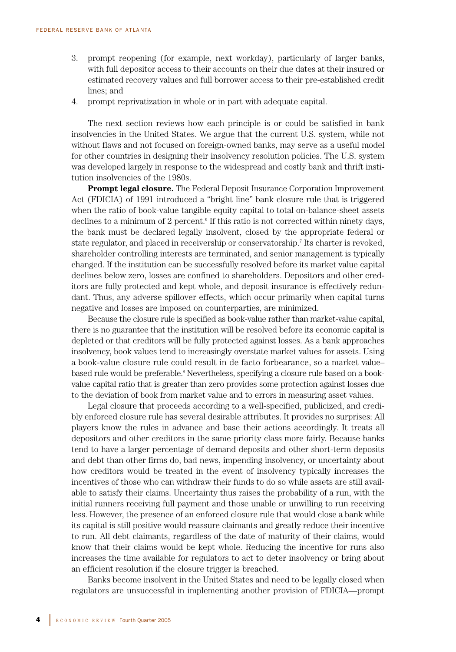- 3. prompt reopening (for example, next workday), particularly of larger banks, with full depositor access to their accounts on their due dates at their insured or estimated recovery values and full borrower access to their pre-established credit lines; and
- 4. prompt reprivatization in whole or in part with adequate capital.

The next section reviews how each principle is or could be satisfied in bank insolvencies in the United States. We argue that the current U.S. system, while not without flaws and not focused on foreign-owned banks, may serve as a useful model for other countries in designing their insolvency resolution policies. The U.S. system was developed largely in response to the widespread and costly bank and thrift institution insolvencies of the 1980s.

**Prompt legal closure.** The Federal Deposit Insurance Corporation Improvement Act (FDICIA) of 1991 introduced a "bright line" bank closure rule that is triggered when the ratio of book-value tangible equity capital to total on-balance-sheet assets declines to a minimum of 2 percent.<sup>6</sup> If this ratio is not corrected within ninety days, the bank must be declared legally insolvent, closed by the appropriate federal or state regulator, and placed in receivership or conservatorship.7 Its charter is revoked, shareholder controlling interests are terminated, and senior management is typically changed. If the institution can be successfully resolved before its market value capital declines below zero, losses are confined to shareholders. Depositors and other creditors are fully protected and kept whole, and deposit insurance is effectively redundant. Thus, any adverse spillover effects, which occur primarily when capital turns negative and losses are imposed on counterparties, are minimized.

Because the closure rule is specified as book-value rather than market-value capital, there is no guarantee that the institution will be resolved before its economic capital is depleted or that creditors will be fully protected against losses. As a bank approaches insolvency, book values tend to increasingly overstate market values for assets. Using a book-value closure rule could result in de facto forbearance, so a market value– based rule would be preferable.<sup>8</sup> Nevertheless, specifying a closure rule based on a bookvalue capital ratio that is greater than zero provides some protection against losses due to the deviation of book from market value and to errors in measuring asset values.

Legal closure that proceeds according to a well-specified, publicized, and credibly enforced closure rule has several desirable attributes. It provides no surprises: All players know the rules in advance and base their actions accordingly. It treats all depositors and other creditors in the same priority class more fairly. Because banks tend to have a larger percentage of demand deposits and other short-term deposits and debt than other firms do, bad news, impending insolvency, or uncertainty about how creditors would be treated in the event of insolvency typically increases the incentives of those who can withdraw their funds to do so while assets are still available to satisfy their claims. Uncertainty thus raises the probability of a run, with the initial runners receiving full payment and those unable or unwilling to run receiving less. However, the presence of an enforced closure rule that would close a bank while its capital is still positive would reassure claimants and greatly reduce their incentive to run. All debt claimants, regardless of the date of maturity of their claims, would know that their claims would be kept whole. Reducing the incentive for runs also increases the time available for regulators to act to deter insolvency or bring about an efficient resolution if the closure trigger is breached.

Banks become insolvent in the United States and need to be legally closed when regulators are unsuccessful in implementing another provision of FDICIA—prompt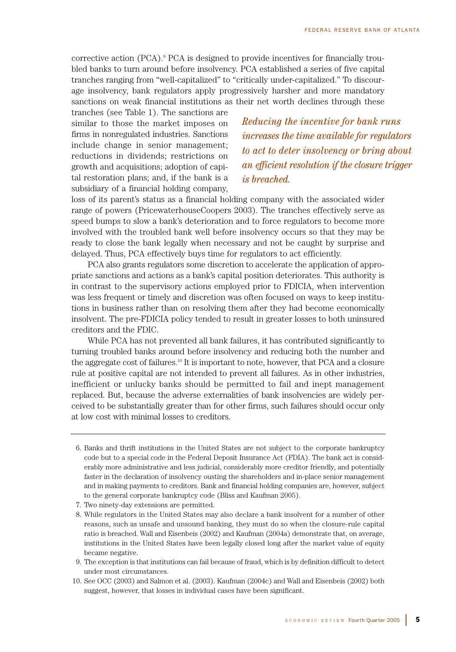corrective action (PCA).9 PCA is designed to provide incentives for financially troubled banks to turn around before insolvency. PCA established a series of five capital tranches ranging from "well-capitalized" to "critically under-capitalized." To discourage insolvency, bank regulators apply progressively harsher and more mandatory sanctions on weak financial institutions as their net worth declines through these

tranches (see Table 1). The sanctions are similar to those the market imposes on firms in nonregulated industries. Sanctions include change in senior management; reductions in dividends; restrictions on growth and acquisitions; adoption of capital restoration plans; and, if the bank is a subsidiary of a financial holding company,

*Reducing the incentive for bank runs increases the time available for regulators to act to deter insolvency or bring about an efficient resolution if the closure trigger is breached.*

loss of its parent's status as a financial holding company with the associated wider range of powers (PricewaterhouseCoopers 2003). The tranches effectively serve as speed bumps to slow a bank's deterioration and to force regulators to become more involved with the troubled bank well before insolvency occurs so that they may be ready to close the bank legally when necessary and not be caught by surprise and delayed. Thus, PCA effectively buys time for regulators to act efficiently.

PCA also grants regulators some discretion to accelerate the application of appropriate sanctions and actions as a bank's capital position deteriorates. This authority is in contrast to the supervisory actions employed prior to FDICIA, when intervention was less frequent or timely and discretion was often focused on ways to keep institutions in business rather than on resolving them after they had become economically insolvent. The pre-FDICIA policy tended to result in greater losses to both uninsured creditors and the FDIC.

While PCA has not prevented all bank failures, it has contributed significantly to turning troubled banks around before insolvency and reducing both the number and the aggregate cost of failures.10 It is important to note, however, that PCA and a closure rule at positive capital are not intended to prevent all failures. As in other industries, inefficient or unlucky banks should be permitted to fail and inept management replaced. But, because the adverse externalities of bank insolvencies are widely perceived to be substantially greater than for other firms, such failures should occur only at low cost with minimal losses to creditors.

- 6. Banks and thrift institutions in the United States are not subject to the corporate bankruptcy code but to a special code in the Federal Deposit Insurance Act (FDIA). The bank act is considerably more administrative and less judicial, considerably more creditor friendly, and potentially faster in the declaration of insolvency ousting the shareholders and in-place senior management and in making payments to creditors. Bank and financial holding companies are, however, subject to the general corporate bankruptcy code (Bliss and Kaufman 2005).
- 7. Two ninety-day extensions are permitted.
- 8. While regulators in the United States may also declare a bank insolvent for a number of other reasons, such as unsafe and unsound banking, they must do so when the closure-rule capital ratio is breached. Wall and Eisenbeis (2002) and Kaufman (2004a) demonstrate that, on average, institutions in the United States have been legally closed long after the market value of equity became negative.
- 9. The exception is that institutions can fail because of fraud, which is by definition difficult to detect under most circumstances.
- 10. See OCC (2003) and Salmon et al. (2003). Kaufman (2004c) and Wall and Eisenbeis (2002) both suggest, however, that losses in individual cases have been significant.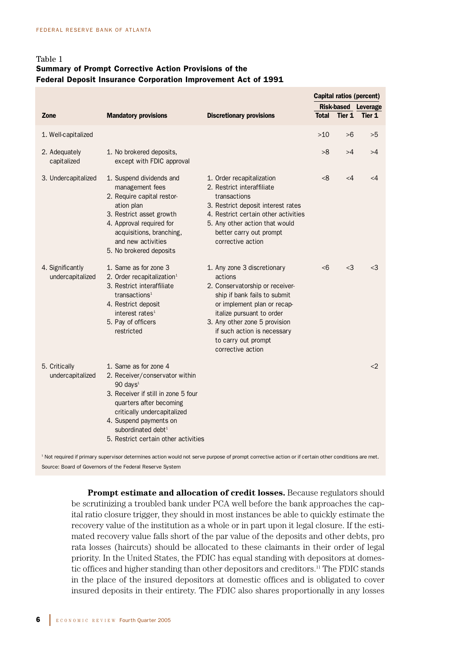# Table 1 Summary of Prompt Corrective Action Provisions of the Federal Deposit Insurance Corporation Improvement Act of 1991

|                                      |                                                                                                                                                                                                                                                                                                     |                                                                                                                                                                                                                                                                                   |              |          | Capital ratios (percent)   |
|--------------------------------------|-----------------------------------------------------------------------------------------------------------------------------------------------------------------------------------------------------------------------------------------------------------------------------------------------------|-----------------------------------------------------------------------------------------------------------------------------------------------------------------------------------------------------------------------------------------------------------------------------------|--------------|----------|----------------------------|
|                                      |                                                                                                                                                                                                                                                                                                     |                                                                                                                                                                                                                                                                                   |              |          | <b>Risk-based Leverage</b> |
| Zone                                 | <b>Mandatory provisions</b>                                                                                                                                                                                                                                                                         | <b>Discretionary provisions</b>                                                                                                                                                                                                                                                   | <b>Total</b> | Tier 1   | Tier 1                     |
| 1. Well-capitalized                  |                                                                                                                                                                                                                                                                                                     |                                                                                                                                                                                                                                                                                   | $>10$        | >6       | >5                         |
| 2. Adequately<br>capitalized         | 1. No brokered deposits,<br>except with FDIC approval                                                                                                                                                                                                                                               |                                                                                                                                                                                                                                                                                   | >8           | >4       | >4                         |
| 3. Undercapitalized                  | 1. Suspend dividends and<br>management fees<br>2. Require capital restor-<br>ation plan<br>3. Restrict asset growth<br>4. Approval required for<br>acquisitions, branching,<br>and new activities<br>5. No brokered deposits                                                                        | 1. Order recapitalization<br>2. Restrict interaffiliate<br>transactions<br>3. Restrict deposit interest rates<br>4. Restrict certain other activities<br>5. Any other action that would<br>better carry out prompt<br>corrective action                                           | <8           | $\leq 4$ | $\leq 4$                   |
| 4. Significantly<br>undercapitalized | 1. Same as for zone 3<br>2. Order recapitalization <sup>1</sup><br>3. Restrict interaffiliate<br>transactions <sup>1</sup><br>4. Restrict deposit<br>interest rates <sup>1</sup><br>5. Pay of officers<br>restricted                                                                                | 1. Any zone 3 discretionary<br>actions<br>2. Conservatorship or receiver-<br>ship if bank fails to submit<br>or implement plan or recap-<br>italize pursuant to order<br>3. Any other zone 5 provision<br>if such action is necessary<br>to carry out prompt<br>corrective action | <6           | $<$ 3    | $<$ 3                      |
| 5. Critically<br>undercapitalized    | 1. Same as for zone 4<br>2. Receiver/conservator within<br>$90$ days <sup><math>1</math></sup><br>3. Receiver if still in zone 5 four<br>quarters after becoming<br>critically undercapitalized<br>4. Suspend payments on<br>subordinated debt <sup>1</sup><br>5. Restrict certain other activities |                                                                                                                                                                                                                                                                                   |              |          | $<$ 2                      |

<sup>1</sup> Not required if primary supervisor determines action would not serve purpose of prompt corrective action or if certain other conditions are met. Source: Board of Governors of the Federal Reserve System

**Prompt estimate and allocation of credit losses.** Because regulators should be scrutinizing a troubled bank under PCA well before the bank approaches the capital ratio closure trigger, they should in most instances be able to quickly estimate the recovery value of the institution as a whole or in part upon it legal closure. If the estimated recovery value falls short of the par value of the deposits and other debts, pro rata losses (haircuts) should be allocated to these claimants in their order of legal priority. In the United States, the FDIC has equal standing with depositors at domestic offices and higher standing than other depositors and creditors.<sup>11</sup> The FDIC stands in the place of the insured depositors at domestic offices and is obligated to cover insured deposits in their entirety. The FDIC also shares proportionally in any losses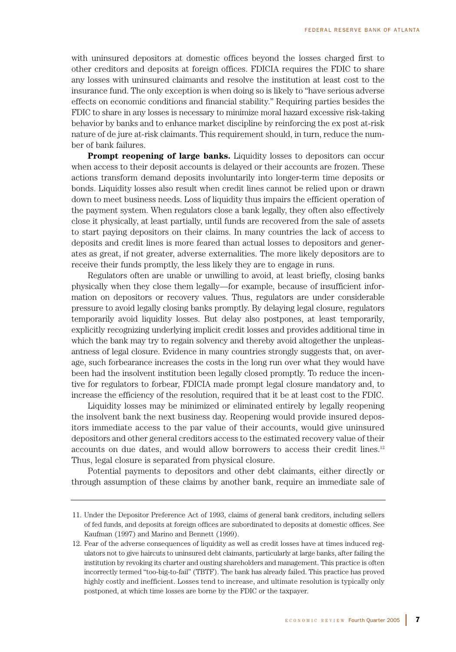with uninsured depositors at domestic offices beyond the losses charged first to other creditors and deposits at foreign offices. FDICIA requires the FDIC to share any losses with uninsured claimants and resolve the institution at least cost to the insurance fund. The only exception is when doing so is likely to "have serious adverse effects on economic conditions and financial stability." Requiring parties besides the FDIC to share in any losses is necessary to minimize moral hazard excessive risk-taking behavior by banks and to enhance market discipline by reinforcing the ex post at-risk nature of de jure at-risk claimants. This requirement should, in turn, reduce the number of bank failures.

**Prompt reopening of large banks.** Liquidity losses to depositors can occur when access to their deposit accounts is delayed or their accounts are frozen. These actions transform demand deposits involuntarily into longer-term time deposits or bonds. Liquidity losses also result when credit lines cannot be relied upon or drawn down to meet business needs. Loss of liquidity thus impairs the efficient operation of the payment system. When regulators close a bank legally, they often also effectively close it physically, at least partially, until funds are recovered from the sale of assets to start paying depositors on their claims. In many countries the lack of access to deposits and credit lines is more feared than actual losses to depositors and generates as great, if not greater, adverse externalities. The more likely depositors are to receive their funds promptly, the less likely they are to engage in runs.

Regulators often are unable or unwilling to avoid, at least briefly, closing banks physically when they close them legally—for example, because of insufficient information on depositors or recovery values. Thus, regulators are under considerable pressure to avoid legally closing banks promptly. By delaying legal closure, regulators temporarily avoid liquidity losses. But delay also postpones, at least temporarily, explicitly recognizing underlying implicit credit losses and provides additional time in which the bank may try to regain solvency and thereby avoid altogether the unpleasantness of legal closure. Evidence in many countries strongly suggests that, on average, such forbearance increases the costs in the long run over what they would have been had the insolvent institution been legally closed promptly. To reduce the incentive for regulators to forbear, FDICIA made prompt legal closure mandatory and, to increase the efficiency of the resolution, required that it be at least cost to the FDIC.

Liquidity losses may be minimized or eliminated entirely by legally reopening the insolvent bank the next business day. Reopening would provide insured depositors immediate access to the par value of their accounts, would give uninsured depositors and other general creditors access to the estimated recovery value of their accounts on due dates, and would allow borrowers to access their credit lines.<sup>12</sup> Thus, legal closure is separated from physical closure.

Potential payments to depositors and other debt claimants, either directly or through assumption of these claims by another bank, require an immediate sale of

<sup>11.</sup> Under the Depositor Preference Act of 1993, claims of general bank creditors, including sellers of fed funds, and deposits at foreign offices are subordinated to deposits at domestic offices. See Kaufman (1997) and Marino and Bennett (1999).

<sup>12.</sup> Fear of the adverse consequences of liquidity as well as credit losses have at times induced regulators not to give haircuts to uninsured debt claimants, particularly at large banks, after failing the institution by revoking its charter and ousting shareholders and management. This practice is often incorrectly termed "too-big-to-fail" (TBTF). The bank has already failed. This practice has proved highly costly and inefficient. Losses tend to increase, and ultimate resolution is typically only postponed, at which time losses are borne by the FDIC or the taxpayer.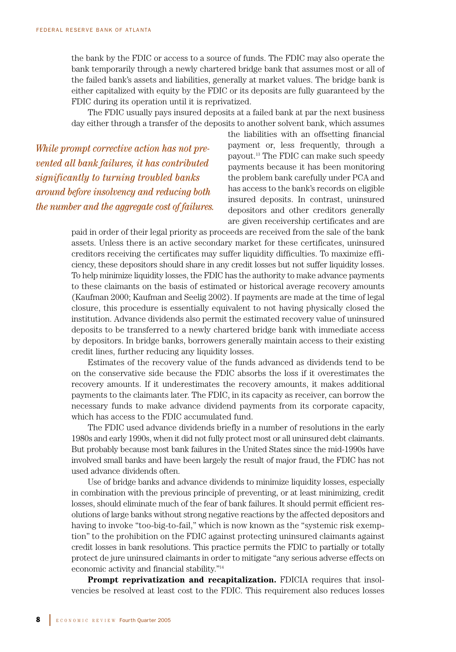the bank by the FDIC or access to a source of funds. The FDIC may also operate the bank temporarily through a newly chartered bridge bank that assumes most or all of the failed bank's assets and liabilities, generally at market values. The bridge bank is either capitalized with equity by the FDIC or its deposits are fully guaranteed by the FDIC during its operation until it is reprivatized.

The FDIC usually pays insured deposits at a failed bank at par the next business day either through a transfer of the deposits to another solvent bank, which assumes

*While prompt corrective action has not prevented all bank failures, it has contributed significantly to turning troubled banks around before insolvency and reducing both the number and the aggregate cost of failures.* the liabilities with an offsetting financial payment or, less frequently, through a payout.13 The FDIC can make such speedy payments because it has been monitoring the problem bank carefully under PCA and has access to the bank's records on eligible insured deposits. In contrast, uninsured depositors and other creditors generally are given receivership certificates and are

paid in order of their legal priority as proceeds are received from the sale of the bank assets. Unless there is an active secondary market for these certificates, uninsured creditors receiving the certificates may suffer liquidity difficulties. To maximize efficiency, these depositors should share in any credit losses but not suffer liquidity losses. To help minimize liquidity losses, the FDIC has the authority to make advance payments to these claimants on the basis of estimated or historical average recovery amounts (Kaufman 2000; Kaufman and Seelig 2002). If payments are made at the time of legal closure, this procedure is essentially equivalent to not having physically closed the institution. Advance dividends also permit the estimated recovery value of uninsured deposits to be transferred to a newly chartered bridge bank with immediate access by depositors. In bridge banks, borrowers generally maintain access to their existing credit lines, further reducing any liquidity losses.

Estimates of the recovery value of the funds advanced as dividends tend to be on the conservative side because the FDIC absorbs the loss if it overestimates the recovery amounts. If it underestimates the recovery amounts, it makes additional payments to the claimants later. The FDIC, in its capacity as receiver, can borrow the necessary funds to make advance dividend payments from its corporate capacity, which has access to the FDIC accumulated fund.

The FDIC used advance dividends briefly in a number of resolutions in the early 1980s and early 1990s, when it did not fully protect most or all uninsured debt claimants. But probably because most bank failures in the United States since the mid-1990s have involved small banks and have been largely the result of major fraud, the FDIC has not used advance dividends often.

Use of bridge banks and advance dividends to minimize liquidity losses, especially in combination with the previous principle of preventing, or at least minimizing, credit losses, should eliminate much of the fear of bank failures. It should permit efficient resolutions of large banks without strong negative reactions by the affected depositors and having to invoke "too-big-to-fail," which is now known as the "systemic risk exemption" to the prohibition on the FDIC against protecting uninsured claimants against credit losses in bank resolutions. This practice permits the FDIC to partially or totally protect de jure uninsured claimants in order to mitigate "any serious adverse effects on economic activity and financial stability."14

**Prompt reprivatization and recapitalization.** FDICIA requires that insolvencies be resolved at least cost to the FDIC. This requirement also reduces losses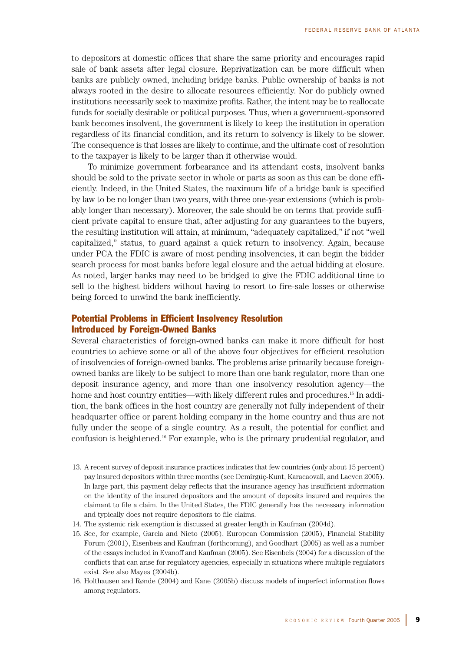to depositors at domestic offices that share the same priority and encourages rapid sale of bank assets after legal closure. Reprivatization can be more difficult when banks are publicly owned, including bridge banks. Public ownership of banks is not always rooted in the desire to allocate resources efficiently. Nor do publicly owned institutions necessarily seek to maximize profits. Rather, the intent may be to reallocate funds for socially desirable or political purposes. Thus, when a government-sponsored bank becomes insolvent, the government is likely to keep the institution in operation regardless of its financial condition, and its return to solvency is likely to be slower. The consequence is that losses are likely to continue, and the ultimate cost of resolution to the taxpayer is likely to be larger than it otherwise would.

To minimize government forbearance and its attendant costs, insolvent banks should be sold to the private sector in whole or parts as soon as this can be done efficiently. Indeed, in the United States, the maximum life of a bridge bank is specified by law to be no longer than two years, with three one-year extensions (which is probably longer than necessary). Moreover, the sale should be on terms that provide sufficient private capital to ensure that, after adjusting for any guarantees to the buyers, the resulting institution will attain, at minimum, "adequately capitalized," if not "well capitalized," status, to guard against a quick return to insolvency. Again, because under PCA the FDIC is aware of most pending insolvencies, it can begin the bidder search process for most banks before legal closure and the actual bidding at closure. As noted, larger banks may need to be bridged to give the FDIC additional time to sell to the highest bidders without having to resort to fire-sale losses or otherwise being forced to unwind the bank inefficiently.

# Potential Problems in Efficient Insolvency Resolution Introduced by Foreign-Owned Banks

Several characteristics of foreign-owned banks can make it more difficult for host countries to achieve some or all of the above four objectives for efficient resolution of insolvencies of foreign-owned banks. The problems arise primarily because foreignowned banks are likely to be subject to more than one bank regulator, more than one deposit insurance agency, and more than one insolvency resolution agency—the home and host country entities—with likely different rules and procedures.<sup>15</sup> In addition, the bank offices in the host country are generally not fully independent of their headquarter office or parent holding company in the home country and thus are not fully under the scope of a single country. As a result, the potential for conflict and confusion is heightened.16 For example, who is the primary prudential regulator, and

<sup>13.</sup> A recent survey of deposit insurance practices indicates that few countries (only about 15 percent) pay insured depositors within three months (see Demirgüç-Kunt, Karacaovali, and Laeven 2005). In large part, this payment delay reflects that the insurance agency has insufficient information on the identity of the insured depositors and the amount of deposits insured and requires the claimant to file a claim. In the United States, the FDIC generally has the necessary information and typically does not require depositors to file claims.

<sup>14.</sup> The systemic risk exemption is discussed at greater length in Kaufman (2004d).

<sup>15.</sup> See, for example, Garcia and Nieto (2005), European Commission (2005), Financial Stability Forum (2001), Eisenbeis and Kaufman (forthcoming), and Goodhart (2005) as well as a number of the essays included in Evanoff and Kaufman (2005). See Eisenbeis (2004) for a discussion of the conflicts that can arise for regulatory agencies, especially in situations where multiple regulators exist. See also Mayes (2004b).

<sup>16.</sup> Holthausen and Rønde (2004) and Kane (2005b) discuss models of imperfect information flows among regulators.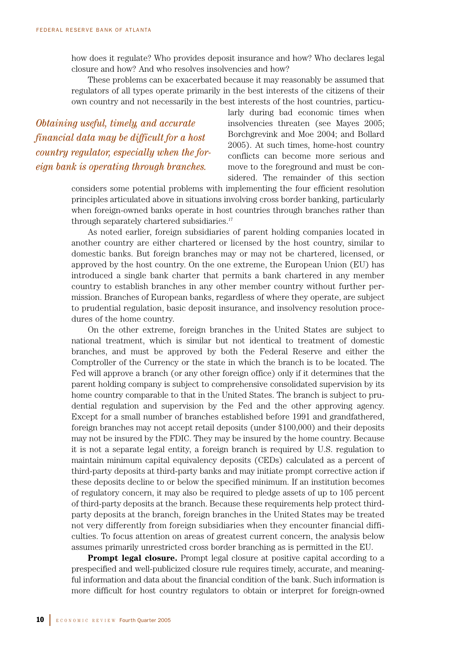how does it regulate? Who provides deposit insurance and how? Who declares legal closure and how? And who resolves insolvencies and how?

These problems can be exacerbated because it may reasonably be assumed that regulators of all types operate primarily in the best interests of the citizens of their own country and not necessarily in the best interests of the host countries, particu-

*Obtaining useful, timely, and accurate financial data may be difficult for a host country regulator, especially when the foreign bank is operating through branches.*

larly during bad economic times when insolvencies threaten (see Mayes 2005; Borchgrevink and Moe 2004; and Bollard 2005). At such times, home-host country conflicts can become more serious and move to the foreground and must be considered. The remainder of this section

considers some potential problems with implementing the four efficient resolution principles articulated above in situations involving cross border banking, particularly when foreign-owned banks operate in host countries through branches rather than through separately chartered subsidiaries.<sup>17</sup>

As noted earlier, foreign subsidiaries of parent holding companies located in another country are either chartered or licensed by the host country, similar to domestic banks. But foreign branches may or may not be chartered, licensed, or approved by the host country. On the one extreme, the European Union (EU) has introduced a single bank charter that permits a bank chartered in any member country to establish branches in any other member country without further permission. Branches of European banks, regardless of where they operate, are subject to prudential regulation, basic deposit insurance, and insolvency resolution procedures of the home country.

On the other extreme, foreign branches in the United States are subject to national treatment, which is similar but not identical to treatment of domestic branches, and must be approved by both the Federal Reserve and either the Comptroller of the Currency or the state in which the branch is to be located. The Fed will approve a branch (or any other foreign office) only if it determines that the parent holding company is subject to comprehensive consolidated supervision by its home country comparable to that in the United States. The branch is subject to prudential regulation and supervision by the Fed and the other approving agency. Except for a small number of branches established before 1991 and grandfathered, foreign branches may not accept retail deposits (under \$100,000) and their deposits may not be insured by the FDIC. They may be insured by the home country. Because it is not a separate legal entity, a foreign branch is required by U.S. regulation to maintain minimum capital equivalency deposits (CEDs) calculated as a percent of third-party deposits at third-party banks and may initiate prompt corrective action if these deposits decline to or below the specified minimum. If an institution becomes of regulatory concern, it may also be required to pledge assets of up to 105 percent of third-party deposits at the branch. Because these requirements help protect thirdparty deposits at the branch, foreign branches in the United States may be treated not very differently from foreign subsidiaries when they encounter financial difficulties. To focus attention on areas of greatest current concern, the analysis below assumes primarily unrestricted cross border branching as is permitted in the EU.

**Prompt legal closure.** Prompt legal closure at positive capital according to a prespecified and well-publicized closure rule requires timely, accurate, and meaningful information and data about the financial condition of the bank. Such information is more difficult for host country regulators to obtain or interpret for foreign-owned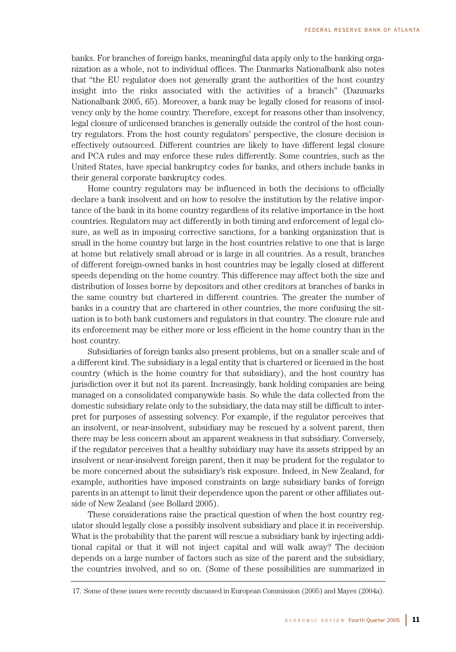banks. For branches of foreign banks, meaningful data apply only to the banking organization as a whole, not to individual offices. The Danmarks Nationalbank also notes that "the EU regulator does not generally grant the authorities of the host country insight into the risks associated with the activities of a branch" (Danmarks Nationalbank 2005, 65). Moreover, a bank may be legally closed for reasons of insolvency only by the home country. Therefore, except for reasons other than insolvency, legal closure of unlicensed branches is generally outside the control of the host country regulators. From the host county regulators' perspective, the closure decision is effectively outsourced. Different countries are likely to have different legal closure and PCA rules and may enforce these rules differently. Some countries, such as the United States, have special bankruptcy codes for banks, and others include banks in their general corporate bankruptcy codes.

Home country regulators may be influenced in both the decisions to officially declare a bank insolvent and on how to resolve the institution by the relative importance of the bank in its home country regardless of its relative importance in the host countries. Regulators may act differently in both timing and enforcement of legal closure, as well as in imposing corrective sanctions, for a banking organization that is small in the home country but large in the host countries relative to one that is large at home but relatively small abroad or is large in all countries. As a result, branches of different foreign-owned banks in host countries may be legally closed at different speeds depending on the home country. This difference may affect both the size and distribution of losses borne by depositors and other creditors at branches of banks in the same country but chartered in different countries. The greater the number of banks in a country that are chartered in other countries, the more confusing the situation is to both bank customers and regulators in that country. The closure rule and its enforcement may be either more or less efficient in the home country than in the host country.

Subsidiaries of foreign banks also present problems, but on a smaller scale and of a different kind. The subsidiary is a legal entity that is chartered or licensed in the host country (which is the home country for that subsidiary), and the host country has jurisdiction over it but not its parent. Increasingly, bank holding companies are being managed on a consolidated companywide basis. So while the data collected from the domestic subsidiary relate only to the subsidiary, the data may still be difficult to interpret for purposes of assessing solvency. For example, if the regulator perceives that an insolvent, or near-insolvent, subsidiary may be rescued by a solvent parent, then there may be less concern about an apparent weakness in that subsidiary. Conversely, if the regulator perceives that a healthy subsidiary may have its assets stripped by an insolvent or near-insolvent foreign parent, then it may be prudent for the regulator to be more concerned about the subsidiary's risk exposure. Indeed, in New Zealand, for example, authorities have imposed constraints on large subsidiary banks of foreign parents in an attempt to limit their dependence upon the parent or other affiliates outside of New Zealand (see Bollard 2005).

These considerations raise the practical question of when the host country regulator should legally close a possibly insolvent subsidiary and place it in receivership. What is the probability that the parent will rescue a subsidiary bank by injecting additional capital or that it will not inject capital and will walk away? The decision depends on a large number of factors such as size of the parent and the subsidiary, the countries involved, and so on. (Some of these possibilities are summarized in

<sup>17.</sup> Some of these issues were recently discussed in European Commission (2005) and Mayes (2004a).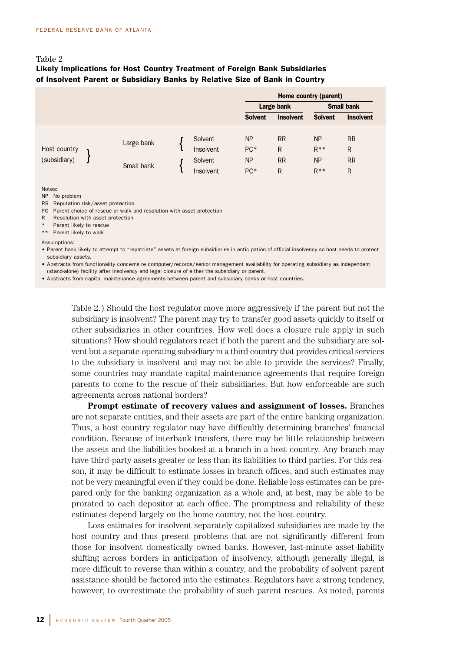# Table 2

# Likely Implications for Host Country Treatment of Foreign Bank Subsidiaries of Insolvent Parent or Subsidiary Banks by Relative Size of Bank in Country

|                              |                          |                                              | Home country (parent)                  |                                  |                                            |                                                        |
|------------------------------|--------------------------|----------------------------------------------|----------------------------------------|----------------------------------|--------------------------------------------|--------------------------------------------------------|
|                              |                          |                                              | <b>Small bank</b><br>Large bank        |                                  |                                            |                                                        |
|                              |                          |                                              | <b>Solvent</b>                         | <b>Insolvent</b>                 | <b>Solvent</b>                             | <b>Insolvent</b>                                       |
| Host country<br>(subsidiary) | Large bank<br>Small bank | Solvent<br>Insolvent<br>Solvent<br>Insolvent | <b>NP</b><br>PC*<br><b>NP</b><br>$PC*$ | <b>RR</b><br>R<br><b>RR</b><br>R | <b>NP</b><br>$R***$<br><b>NP</b><br>$R***$ | <b>RR</b><br>$\mathsf{R}$<br><b>RR</b><br>$\mathsf{R}$ |

#### Notes:

NP No problem

- RR Reputation risk/asset protection
- PC Parent choice of rescue or walk and resolution with asset protection
- R Resolution with asset protection
- Parent likely to rescue
- \*\* Parent likely to walk

Assumptions:

• Parent bank likely to attempt to "repatriate" assets at foreign subsidiaries in anticipation of official insolvency so host needs to protect subsidiary assets.

• Abstracts from functionality concerns re computer/records/senior management availability for operating subsidiary as independent (stand-alone) facility after insolvency and legal closure of either the subsidiary or parent.

• Abstracts from capital maintenance agreements between parent and subsidiary banks or host countries.

Table 2.) Should the host regulator move more aggressively if the parent but not the subsidiary is insolvent? The parent may try to transfer good assets quickly to itself or other subsidiaries in other countries. How well does a closure rule apply in such situations? How should regulators react if both the parent and the subsidiary are solvent but a separate operating subsidiary in a third country that provides critical services to the subsidiary is insolvent and may not be able to provide the services? Finally, some countries may mandate capital maintenance agreements that require foreign parents to come to the rescue of their subsidiaries. But how enforceable are such agreements across national borders?

**Prompt estimate of recovery values and assignment of losses.** Branches are not separate entities, and their assets are part of the entire banking organization. Thus, a host country regulator may have difficultly determining branches' financial condition. Because of interbank transfers, there may be little relationship between the assets and the liabilities booked at a branch in a host country. Any branch may have third-party assets greater or less than its liabilities to third parties. For this reason, it may be difficult to estimate losses in branch offices, and such estimates may not be very meaningful even if they could be done. Reliable loss estimates can be prepared only for the banking organization as a whole and, at best, may be able to be prorated to each depositor at each office. The promptness and reliability of these estimates depend largely on the home country, not the host country.

Loss estimates for insolvent separately capitalized subsidiaries are made by the host country and thus present problems that are not significantly different from those for insolvent domestically owned banks. However, last-minute asset-liability shifting across borders in anticipation of insolvency, although generally illegal, is more difficult to reverse than within a country, and the probability of solvent parent assistance should be factored into the estimates. Regulators have a strong tendency, however, to overestimate the probability of such parent rescues. As noted, parents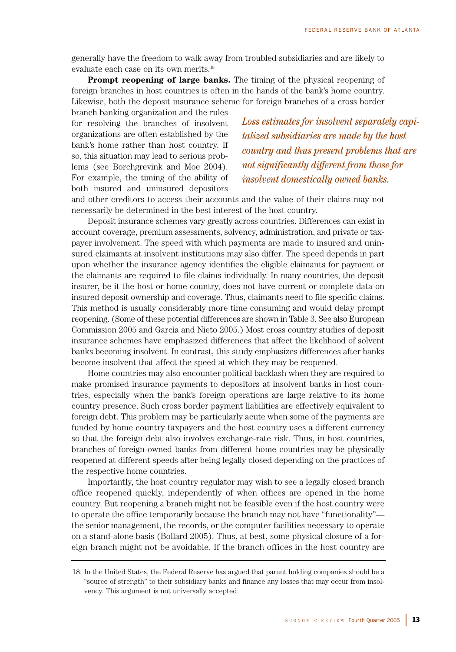generally have the freedom to walk away from troubled subsidiaries and are likely to evaluate each case on its own merits.18

**Prompt reopening of large banks.** The timing of the physical reopening of foreign branches in host countries is often in the hands of the bank's home country. Likewise, both the deposit insurance scheme for foreign branches of a cross border

branch banking organization and the rules for resolving the branches of insolvent organizations are often established by the bank's home rather than host country. If so, this situation may lead to serious problems (see Borchgrevink and Moe 2004). For example, the timing of the ability of both insured and uninsured depositors

*Loss estimates for insolvent separately capitalized subsidiaries are made by the host country and thus present problems that are not significantly different from those for insolvent domestically owned banks.*

and other creditors to access their accounts and the value of their claims may not necessarily be determined in the best interest of the host country.

Deposit insurance schemes vary greatly across countries. Differences can exist in account coverage, premium assessments, solvency, administration, and private or taxpayer involvement. The speed with which payments are made to insured and uninsured claimants at insolvent institutions may also differ. The speed depends in part upon whether the insurance agency identifies the eligible claimants for payment or the claimants are required to file claims individually. In many countries, the deposit insurer, be it the host or home country, does not have current or complete data on insured deposit ownership and coverage. Thus, claimants need to file specific claims. This method is usually considerably more time consuming and would delay prompt reopening. (Some of these potential differences are shown in Table 3. See also European Commission 2005 and Garcia and Nieto 2005.) Most cross country studies of deposit insurance schemes have emphasized differences that affect the likelihood of solvent banks becoming insolvent. In contrast, this study emphasizes differences after banks become insolvent that affect the speed at which they may be reopened.

Home countries may also encounter political backlash when they are required to make promised insurance payments to depositors at insolvent banks in host countries, especially when the bank's foreign operations are large relative to its home country presence. Such cross border payment liabilities are effectively equivalent to foreign debt. This problem may be particularly acute when some of the payments are funded by home country taxpayers and the host country uses a different currency so that the foreign debt also involves exchange-rate risk. Thus, in host countries, branches of foreign-owned banks from different home countries may be physically reopened at different speeds after being legally closed depending on the practices of the respective home countries.

Importantly, the host country regulator may wish to see a legally closed branch office reopened quickly, independently of when offices are opened in the home country. But reopening a branch might not be feasible even if the host country were to operate the office temporarily because the branch may not have "functionality" the senior management, the records, or the computer facilities necessary to operate on a stand-alone basis (Bollard 2005). Thus, at best, some physical closure of a foreign branch might not be avoidable. If the branch offices in the host country are

<sup>18.</sup> In the United States, the Federal Reserve has argued that parent holding companies should be a "source of strength" to their subsidiary banks and finance any losses that may occur from insolvency. This argument is not universally accepted.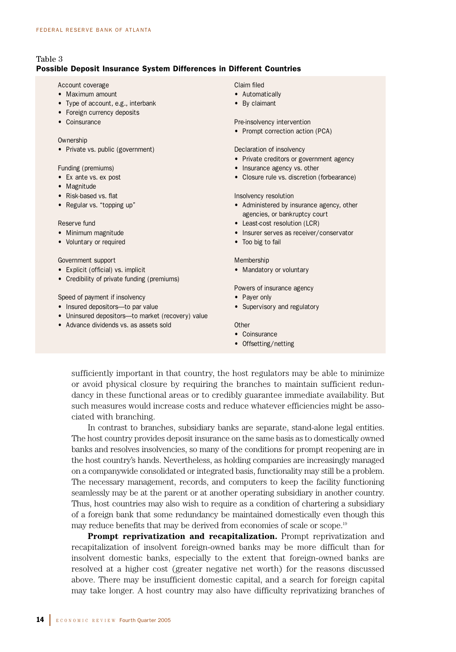# Table 3

## Possible Deposit Insurance System Differences in Different Countries

### Account coverage

- Maximum amount
- Type of account, e.g., interbank
- Foreign currency deposits
- Coinsurance

#### Ownership

• Private vs. public (government)

### Funding (premiums)

- Ex ante vs. ex post
- Magnitude
- Risk-based vs. flat
- Regular vs. "topping up"

#### Reserve fund

- Minimum magnitude
- Voluntary or required

## Government support

- Explicit (official) vs. implicit
- Credibility of private funding (premiums)

#### Speed of payment if insolvency

- Insured depositors—to par value
- Uninsured depositors—to market (recovery) value
- Advance dividends vs. as assets sold

## Claim filed

- Automatically
- By claimant

Pre-insolvency intervention

• Prompt correction action (PCA)

### Declaration of insolvency

- Private creditors or government agency
- Insurance agency vs. other
- Closure rule vs. discretion (forbearance)

### Insolvency resolution

- Administered by insurance agency, other agencies, or bankruptcy court
- Least-cost resolution (LCR)
- Insurer serves as receiver/conservator
- Too big to fail

### Membership

• Mandatory or voluntary

Powers of insurance agency

- Payer only
- Supervisory and regulatory

#### **Other**

- Coinsurance
- Offsetting/netting

sufficiently important in that country, the host regulators may be able to minimize or avoid physical closure by requiring the branches to maintain sufficient redundancy in these functional areas or to credibly guarantee immediate availability. But such measures would increase costs and reduce whatever efficiencies might be associated with branching.

In contrast to branches, subsidiary banks are separate, stand-alone legal entities. The host country provides deposit insurance on the same basis as to domestically owned banks and resolves insolvencies, so many of the conditions for prompt reopening are in the host country's hands. Nevertheless, as holding companies are increasingly managed on a companywide consolidated or integrated basis, functionality may still be a problem. The necessary management, records, and computers to keep the facility functioning seamlessly may be at the parent or at another operating subsidiary in another country. Thus, host countries may also wish to require as a condition of chartering a subsidiary of a foreign bank that some redundancy be maintained domestically even though this may reduce benefits that may be derived from economies of scale or scope.<sup>19</sup>

**Prompt reprivatization and recapitalization.** Prompt reprivatization and recapitalization of insolvent foreign-owned banks may be more difficult than for insolvent domestic banks, especially to the extent that foreign-owned banks are resolved at a higher cost (greater negative net worth) for the reasons discussed above. There may be insufficient domestic capital, and a search for foreign capital may take longer. A host country may also have difficulty reprivatizing branches of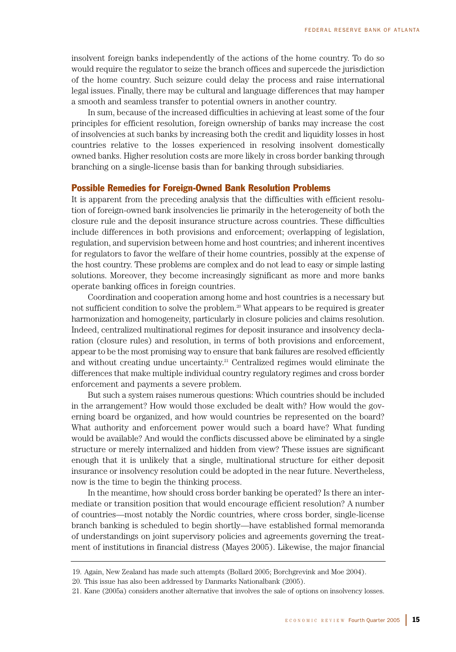insolvent foreign banks independently of the actions of the home country. To do so would require the regulator to seize the branch offices and supercede the jurisdiction of the home country. Such seizure could delay the process and raise international legal issues. Finally, there may be cultural and language differences that may hamper a smooth and seamless transfer to potential owners in another country.

In sum, because of the increased difficulties in achieving at least some of the four principles for efficient resolution, foreign ownership of banks may increase the cost of insolvencies at such banks by increasing both the credit and liquidity losses in host countries relative to the losses experienced in resolving insolvent domestically owned banks. Higher resolution costs are more likely in cross border banking through branching on a single-license basis than for banking through subsidiaries.

# Possible Remedies for Foreign-Owned Bank Resolution Problems

It is apparent from the preceding analysis that the difficulties with efficient resolution of foreign-owned bank insolvencies lie primarily in the heterogeneity of both the closure rule and the deposit insurance structure across countries. These difficulties include differences in both provisions and enforcement; overlapping of legislation, regulation, and supervision between home and host countries; and inherent incentives for regulators to favor the welfare of their home countries, possibly at the expense of the host country. These problems are complex and do not lead to easy or simple lasting solutions. Moreover, they become increasingly significant as more and more banks operate banking offices in foreign countries.

Coordination and cooperation among home and host countries is a necessary but not sufficient condition to solve the problem.<sup>20</sup> What appears to be required is greater harmonization and homogeneity, particularly in closure policies and claims resolution. Indeed, centralized multinational regimes for deposit insurance and insolvency declaration (closure rules) and resolution, in terms of both provisions and enforcement, appear to be the most promising way to ensure that bank failures are resolved efficiently and without creating undue uncertainty.<sup>21</sup> Centralized regimes would eliminate the differences that make multiple individual country regulatory regimes and cross border enforcement and payments a severe problem.

But such a system raises numerous questions: Which countries should be included in the arrangement? How would those excluded be dealt with? How would the governing board be organized, and how would countries be represented on the board? What authority and enforcement power would such a board have? What funding would be available? And would the conflicts discussed above be eliminated by a single structure or merely internalized and hidden from view? These issues are significant enough that it is unlikely that a single, multinational structure for either deposit insurance or insolvency resolution could be adopted in the near future. Nevertheless, now is the time to begin the thinking process.

In the meantime, how should cross border banking be operated? Is there an intermediate or transition position that would encourage efficient resolution? A number of countries—most notably the Nordic countries, where cross border, single-license branch banking is scheduled to begin shortly—have established formal memoranda of understandings on joint supervisory policies and agreements governing the treatment of institutions in financial distress (Mayes 2005). Likewise, the major financial

<sup>19.</sup> Again, New Zealand has made such attempts (Bollard 2005; Borchgrevink and Moe 2004).

<sup>20.</sup> This issue has also been addressed by Danmarks Nationalbank (2005).

<sup>21.</sup> Kane (2005a) considers another alternative that involves the sale of options on insolvency losses.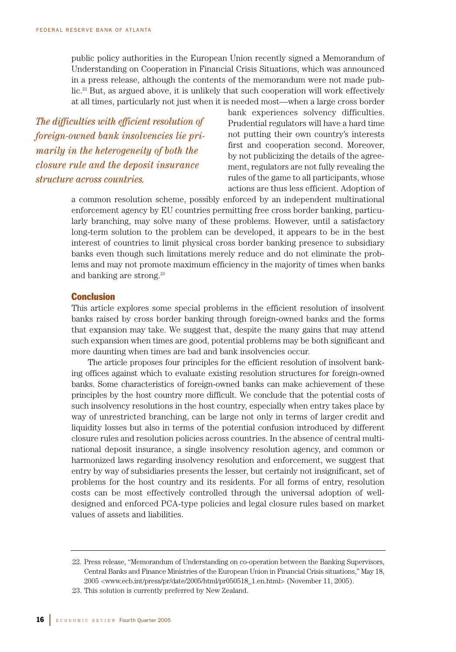public policy authorities in the European Union recently signed a Memorandum of Understanding on Cooperation in Financial Crisis Situations, which was announced in a press release, although the contents of the memorandum were not made public.<sup>22</sup> But, as argued above, it is unlikely that such cooperation will work effectively at all times, particularly not just when it is needed most—when a large cross border

*The difficulties with efficient resolution of foreign-owned bank insolvencies lie primarily in the heterogeneity of both the closure rule and the deposit insurance structure across countries.*

bank experiences solvency difficulties. Prudential regulators will have a hard time not putting their own country's interests first and cooperation second. Moreover, by not publicizing the details of the agreement, regulators are not fully revealing the rules of the game to all participants, whose actions are thus less efficient. Adoption of

a common resolution scheme, possibly enforced by an independent multinational enforcement agency by EU countries permitting free cross border banking, particularly branching, may solve many of these problems. However, until a satisfactory long-term solution to the problem can be developed, it appears to be in the best interest of countries to limit physical cross border banking presence to subsidiary banks even though such limitations merely reduce and do not eliminate the problems and may not promote maximum efficiency in the majority of times when banks and banking are strong.<sup>23</sup>

# **Conclusion**

This article explores some special problems in the efficient resolution of insolvent banks raised by cross border banking through foreign-owned banks and the forms that expansion may take. We suggest that, despite the many gains that may attend such expansion when times are good, potential problems may be both significant and more daunting when times are bad and bank insolvencies occur.

The article proposes four principles for the efficient resolution of insolvent banking offices against which to evaluate existing resolution structures for foreign-owned banks. Some characteristics of foreign-owned banks can make achievement of these principles by the host country more difficult. We conclude that the potential costs of such insolvency resolutions in the host country, especially when entry takes place by way of unrestricted branching, can be large not only in terms of larger credit and liquidity losses but also in terms of the potential confusion introduced by different closure rules and resolution policies across countries. In the absence of central multinational deposit insurance, a single insolvency resolution agency, and common or harmonized laws regarding insolvency resolution and enforcement, we suggest that entry by way of subsidiaries presents the lesser, but certainly not insignificant, set of problems for the host country and its residents. For all forms of entry, resolution costs can be most effectively controlled through the universal adoption of welldesigned and enforced PCA-type policies and legal closure rules based on market values of assets and liabilities.

<sup>22.</sup> Press release, "Memorandum of Understanding on co-operation between the Banking Supervisors, Central Banks and Finance Ministries of the European Union in Financial Crisis situations," May 18, 2005 <www.ecb.int/press/pr/date/2005/html/pr050518\_1.en.html> (November 11, 2005).

<sup>23.</sup> This solution is currently preferred by New Zealand.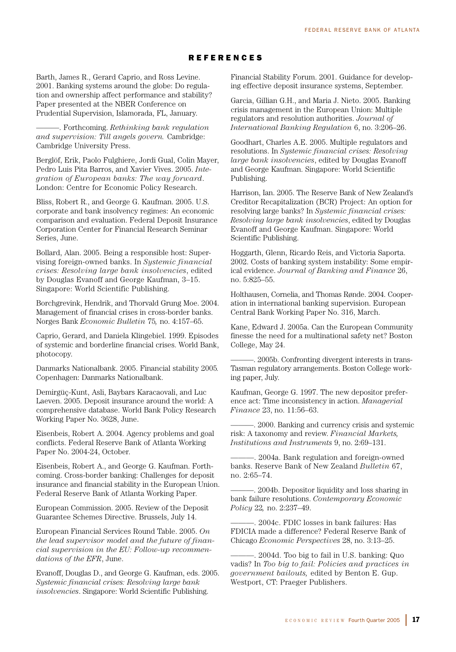# REFERENCES

Barth, James R., Gerard Caprio, and Ross Levine. 2001. Banking systems around the globe: Do regulation and ownership affect performance and stability? Paper presented at the NBER Conference on Prudential Supervision, Islamorada, FL, January.

———. Forthcoming. *Rethinking bank regulation and supervision: Till angels govern.* Cambridge: Cambridge University Press.

Berglöf, Erik, Paolo Fulghiere, Jordi Gual, Colin Mayer, Pedro Luis Pita Barros, and Xavier Vives. 2005. *Integration of European banks: The way forward*. London: Centre for Economic Policy Research.

Bliss, Robert R., and George G. Kaufman. 2005. U.S. corporate and bank insolvency regimes: An economic comparison and evaluation. Federal Deposit Insurance Corporation Center for Financial Research Seminar Series, June.

Bollard, Alan. 2005. Being a responsible host: Supervising foreign-owned banks. In *Systemic financial crises: Resolving large bank insolvencies*, edited by Douglas Evanoff and George Kaufman, 3–15. Singapore: World Scientific Publishing.

Borchgrevink, Hendrik, and Thorvald Grung Moe. 2004. Management of financial crises in cross-border banks. Norges Bank *Economic Bulletin* 75*,* no. 4:157–65.

Caprio, Gerard, and Daniela Klingebiel. 1999. Episodes of systemic and borderline financial crises. World Bank, photocopy.

Danmarks Nationalbank. 2005. Financial stability 2005*.* Copenhagen: Danmarks Nationalbank.

Demirgüç-Kunt, Asli, Baybars Karacaovali, and Luc Laeven. 2005. Deposit insurance around the world: A comprehensive database. World Bank Policy Research Working Paper No. 3628, June.

Eisenbeis, Robert A. 2004. Agency problems and goal conflicts. Federal Reserve Bank of Atlanta Working Paper No. 2004-24, October.

Eisenbeis, Robert A., and George G. Kaufman. Forthcoming. Cross-border banking: Challenges for deposit insurance and financial stability in the European Union. Federal Reserve Bank of Atlanta Working Paper.

European Commission. 2005. Review of the Deposit Guarantee Schemes Directive. Brussels, July 14.

European Financial Services Round Table. 2005. *On the lead supervisor model and the future of financial supervision in the EU: Follow-up recommendations of the EFR*, June.

Evanoff, Douglas D., and George G. Kaufman, eds. 2005. *Systemic financial crises: Resolving large bank insolvencies*. Singapore: World Scientific Publishing.

Financial Stability Forum. 2001. Guidance for developing effective deposit insurance systems, September.

Garcia, Gillian G.H., and Maria J. Nieto. 2005. Banking crisis management in the European Union: Multiple regulators and resolution authorities. *Journal of International Banking Regulation* 6, no. 3:206–26.

Goodhart, Charles A.E. 2005. Multiple regulators and resolutions. In *Systemic financial crises: Resolving large bank insolvencies*, edited by Douglas Evanoff and George Kaufman. Singapore: World Scientific Publishing.

Harrison, Ian. 2005. The Reserve Bank of New Zealand's Creditor Recapitalization (BCR) Project: An option for resolving large banks? In *Systemic financial crises: Resolving large bank insolvencies*, edited by Douglas Evanoff and George Kaufman. Singapore: World Scientific Publishing.

Hoggarth, Glenn, Ricardo Reis, and Victoria Saporta. 2002. Costs of banking system instability: Some empirical evidence. *Journal of Banking and Finance* 26, no. 5:825–55.

Holthausen, Cornelia, and Thomas Rønde. 2004. Cooperation in international banking supervision. European Central Bank Working Paper No. 316, March.

Kane, Edward J. 2005a. Can the European Community finesse the need for a multinational safety net? Boston College, May 24.

———. 2005b. Confronting divergent interests in trans-Tasman regulatory arrangements. Boston College working paper, July.

Kaufman, George G. 1997. The new depositor preference act: Time inconsistency in action. *Managerial Finance* 23, no. 11:56–63.

———. 2000. Banking and currency crisis and systemic risk: A taxonomy and review. *Financial Markets, Institutions and Instruments* 9, no. 2:69–131.

———. 2004a. Bank regulation and foreign-owned banks. Reserve Bank of New Zealand *Bulletin* 67, no. 2:65–74.

———. 2004b. Depositor liquidity and loss sharing in bank failure resolutions. *Contemporary Economic Policy* 22*,* no. 2:237–49.

———. 2004c. FDIC losses in bank failures: Has FDICIA made a difference? Federal Reserve Bank of Chicago *Economic Perspectives* 28, no. 3:13–25.

-. 2004d. Too big to fail in U.S. banking: Quo vadis? In *Too big to fail: Policies and practices in government bailouts,* edited by Benton E. Gup. Westport, CT: Praeger Publishers.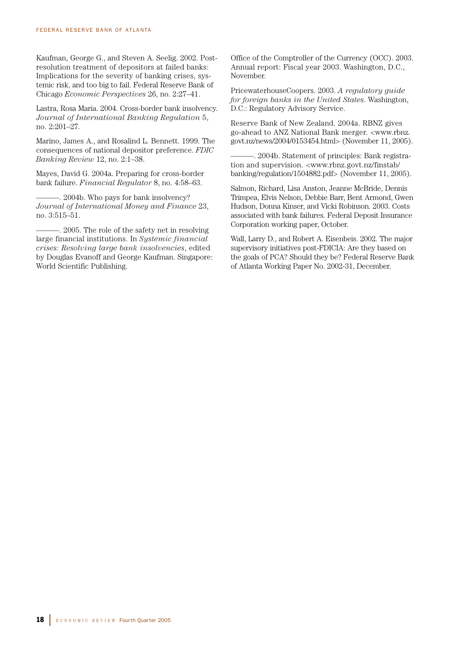Kaufman, George G., and Steven A. Seelig. 2002. Postresolution treatment of depositors at failed banks: Implications for the severity of banking crises, systemic risk, and too big to fail. Federal Reserve Bank of Chicago *Economic Perspectives* 26, no. 2:27–41.

Lastra, Rosa Maria. 2004. Cross-border bank insolvency. *Journal of International Banking Regulation* 5, no. 2:201–27.

Marino, James A., and Rosalind L. Bennett. 1999. The consequences of national depositor preference. *FDIC Banking Review* 12, no. 2:1–38.

Mayes, David G. 2004a. Preparing for cross-border bank failure. *Financial Regulator* 8, no. 4:58–63.

 $-$ . 2004b. Who pays for bank insolvency? *Journal of International Money and Finance* 23, no. 3:515–51.

———. 2005. The role of the safety net in resolving large financial institutions. In *Systemic financial crises: Resolving large bank insolvencies*, edited by Douglas Evanoff and George Kaufman. Singapore: World Scientific Publishing.

Office of the Comptroller of the Currency (OCC). 2003. Annual report: Fiscal year 2003. Washington, D.C., November.

PricewaterhouseCoopers. 2003. *A regulatory guide for foreign banks in the United States*. Washington, D.C.: Regulatory Advisory Service.

Reserve Bank of New Zealand. 2004a. RBNZ gives go-ahead to ANZ National Bank merger. <www.rbnz. govt.nz/news/2004/0153454.html> (November 11, 2005).

-. 2004b. Statement of principles: Bank registration and supervision. <www.rbnz.govt.nz/finstab/ banking/regulation/1504882.pdf> (November 11, 2005).

Salmon, Richard, Lisa Anston, Jeanne McBride, Dennis Trimpea, Elvis Nelson, Debbie Barr, Bent Armond, Gwen Hudson, Donna Kinser, and Vicki Robinson. 2003. Costs associated with bank failures. Federal Deposit Insurance Corporation working paper, October.

Wall, Larry D., and Robert A. Eisenbeis. 2002. The major supervisory initiatives post-FDICIA: Are they based on the goals of PCA? Should they be? Federal Reserve Bank of Atlanta Working Paper No. 2002-31, December.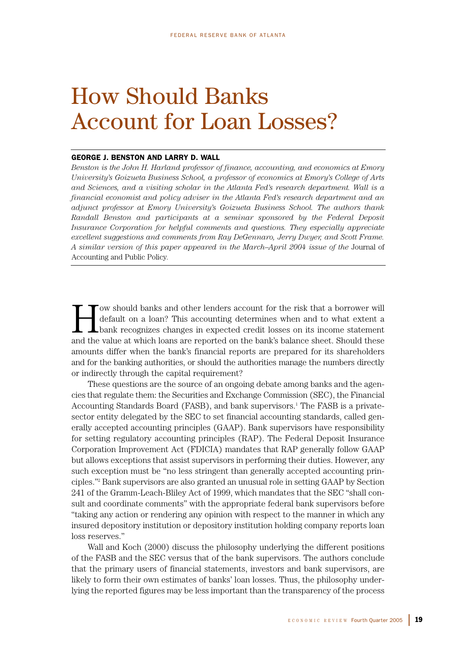# How Should Banks Account for Loan Losses?

## GEORGE J. BENSTON AND LARRY D. WALL

*Benston is the John H. Harland professor of finance, accounting, and economics at Emory University's Goizueta Business School, a professor of economics at Emory's College of Arts and Sciences, and a visiting scholar in the Atlanta Fed's research department. Wall is a financial economist and policy adviser in the Atlanta Fed's research department and an adjunct professor at Emory University's Goizueta Business School. The authors thank Randall Benston and participants at a seminar sponsored by the Federal Deposit Insurance Corporation for helpful comments and questions. They especially appreciate excellent suggestions and comments from Ray DeGennaro, Jerry Dwyer, and Scott Frame. A similar version of this paper appeared in the March–April 2004 issue of the* Journal of Accounting and Public Policy*.*

Tow should banks and other lenders account for the risk that a borrower will<br>default on a loan? This accounting determines when and to what extent a<br>bank recognizes changes in expected credit losses on its income statement default on a loan? This accounting determines when and to what extent a bank recognizes changes in expected credit losses on its income statement and the value at which loans are reported on the bank's balance sheet. Should these amounts differ when the bank's financial reports are prepared for its shareholders and for the banking authorities, or should the authorities manage the numbers directly or indirectly through the capital requirement?

These questions are the source of an ongoing debate among banks and the agencies that regulate them: the Securities and Exchange Commission (SEC), the Financial Accounting Standards Board (FASB), and bank supervisors.<sup>1</sup> The FASB is a privatesector entity delegated by the SEC to set financial accounting standards, called generally accepted accounting principles (GAAP). Bank supervisors have responsibility for setting regulatory accounting principles (RAP). The Federal Deposit Insurance Corporation Improvement Act (FDICIA) mandates that RAP generally follow GAAP but allows exceptions that assist supervisors in performing their duties. However, any such exception must be "no less stringent than generally accepted accounting principles."2 Bank supervisors are also granted an unusual role in setting GAAP by Section 241 of the Gramm-Leach-Bliley Act of 1999, which mandates that the SEC "shall consult and coordinate comments" with the appropriate federal bank supervisors before "taking any action or rendering any opinion with respect to the manner in which any insured depository institution or depository institution holding company reports loan loss reserves."

Wall and Koch (2000) discuss the philosophy underlying the different positions of the FASB and the SEC versus that of the bank supervisors. The authors conclude that the primary users of financial statements, investors and bank supervisors, are likely to form their own estimates of banks' loan losses. Thus, the philosophy underlying the reported figures may be less important than the transparency of the process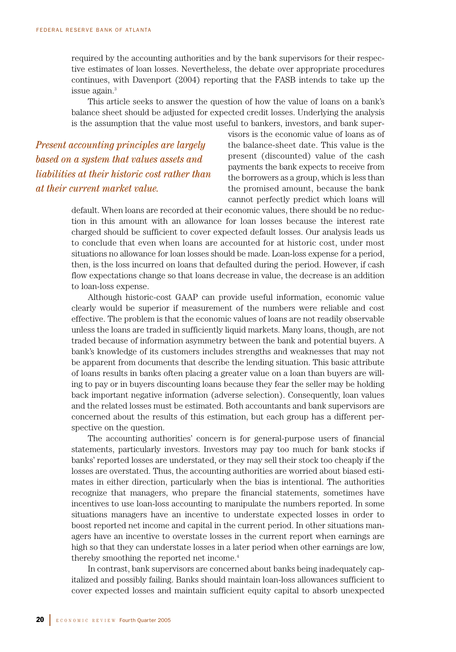required by the accounting authorities and by the bank supervisors for their respective estimates of loan losses. Nevertheless, the debate over appropriate procedures continues, with Davenport (2004) reporting that the FASB intends to take up the issue again.<sup>3</sup>

This article seeks to answer the question of how the value of loans on a bank's balance sheet should be adjusted for expected credit losses. Underlying the analysis is the assumption that the value most useful to bankers, investors, and bank super-

*Present accounting principles are largely based on a system that values assets and liabilities at their historic cost rather than at their current market value.*

visors is the economic value of loans as of the balance-sheet date. This value is the present (discounted) value of the cash payments the bank expects to receive from the borrowers as a group, which is less than the promised amount, because the bank cannot perfectly predict which loans will

default. When loans are recorded at their economic values, there should be no reduction in this amount with an allowance for loan losses because the interest rate charged should be sufficient to cover expected default losses. Our analysis leads us to conclude that even when loans are accounted for at historic cost, under most situations no allowance for loan losses should be made. Loan-loss expense for a period, then, is the loss incurred on loans that defaulted during the period. However, if cash flow expectations change so that loans decrease in value, the decrease is an addition to loan-loss expense.

Although historic-cost GAAP can provide useful information, economic value clearly would be superior if measurement of the numbers were reliable and cost effective. The problem is that the economic values of loans are not readily observable unless the loans are traded in sufficiently liquid markets. Many loans, though, are not traded because of information asymmetry between the bank and potential buyers. A bank's knowledge of its customers includes strengths and weaknesses that may not be apparent from documents that describe the lending situation. This basic attribute of loans results in banks often placing a greater value on a loan than buyers are willing to pay or in buyers discounting loans because they fear the seller may be holding back important negative information (adverse selection). Consequently, loan values and the related losses must be estimated. Both accountants and bank supervisors are concerned about the results of this estimation, but each group has a different perspective on the question.

The accounting authorities' concern is for general-purpose users of financial statements, particularly investors. Investors may pay too much for bank stocks if banks' reported losses are understated, or they may sell their stock too cheaply if the losses are overstated. Thus, the accounting authorities are worried about biased estimates in either direction, particularly when the bias is intentional. The authorities recognize that managers, who prepare the financial statements, sometimes have incentives to use loan-loss accounting to manipulate the numbers reported. In some situations managers have an incentive to understate expected losses in order to boost reported net income and capital in the current period. In other situations managers have an incentive to overstate losses in the current report when earnings are high so that they can understate losses in a later period when other earnings are low, thereby smoothing the reported net income.4

In contrast, bank supervisors are concerned about banks being inadequately capitalized and possibly failing. Banks should maintain loan-loss allowances sufficient to cover expected losses and maintain sufficient equity capital to absorb unexpected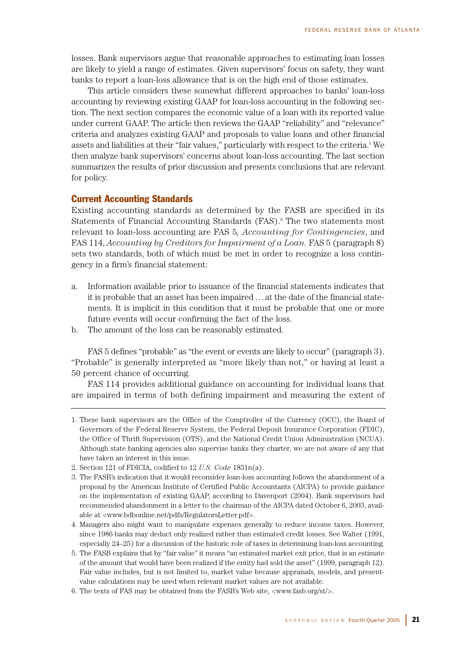losses. Bank supervisors argue that reasonable approaches to estimating loan losses are likely to yield a range of estimates. Given supervisors' focus on safety, they want banks to report a loan-loss allowance that is on the high end of those estimates.

This article considers these somewhat different approaches to banks' loan-loss accounting by reviewing existing GAAP for loan-loss accounting in the following section. The next section compares the economic value of a loan with its reported value under current GAAP. The article then reviews the GAAP "reliability" and "relevance" criteria and analyzes existing GAAP and proposals to value loans and other financial assets and liabilities at their "fair values," particularly with respect to the criteria.<sup>5</sup> We then analyze bank supervisors' concerns about loan-loss accounting. The last section summarizes the results of prior discussion and presents conclusions that are relevant for policy.

# Current Accounting Standards

Existing accounting standards as determined by the FASB are specified in its Statements of Financial Accounting Standards (FAS).<sup>6</sup> The two statements most relevant to loan-loss accounting are FAS 5*, Accounting for Contingencies*, and FAS 114, *Accounting by Creditors for Impairment of a Loan.* FAS 5 (paragraph 8) sets two standards, both of which must be met in order to recognize a loss contingency in a firm's financial statement:

- a. Information available prior to issuance of the financial statements indicates that it is probable that an asset has been impaired . . . at the date of the financial statements. It is implicit in this condition that it must be probable that one or more future events will occur confirming the fact of the loss.
- b. The amount of the loss can be reasonably estimated.

FAS 5 defines "probable" as "the event or events are likely to occur" (paragraph 3). "Probable" is generally interpreted as "more likely than not," or having at least a 50 percent chance of occurring.

FAS 114 provides additional guidance on accounting for individual loans that are impaired in terms of both defining impairment and measuring the extent of

<sup>1.</sup> These bank supervisors are the Office of the Comptroller of the Currency (OCC), the Board of Governors of the Federal Reserve System, the Federal Deposit Insurance Corporation (FDIC), the Office of Thrift Supervision (OTS), and the National Credit Union Administration (NCUA). Although state banking agencies also supervise banks they charter, we are not aware of any that have taken an interest in this issue.

<sup>2.</sup> Section 121 of FDICIA, codified to 12 *U.S. Code* 1831n(a).

<sup>3.</sup> The FASB's indication that it would reconsider loan-loss accounting follows the abandonment of a proposal by the American Institute of Certified Public Accountants (AICPA) to provide guidance on the implementation of existing GAAP, according to Davenport (2004). Bank supervisors had recommended abandonment in a letter to the chairman of the AICPA dated October 6, 2003, available at <www.bdbonline.net/pdfs/RegulatorsLetter.pdf>.

<sup>4.</sup> Managers also might want to manipulate expenses generally to reduce income taxes. However, since 1986 banks may deduct only realized rather than estimated credit losses. See Walter (1991, especially 24–25) for a discussion of the historic role of taxes in determining loan-loss accounting.

<sup>5.</sup> The FASB explains that by "fair value" it means "an estimated market exit price, that is an estimate of the amount that would have been realized if the entity had sold the asset" (1999, paragraph 12). Fair value includes, but is not limited to, market value because appraisals, models, and presentvalue calculations may be used when relevant market values are not available.

<sup>6.</sup> The texts of FAS may be obtained from the FASB's Web site, <www.fasb.org/st/>.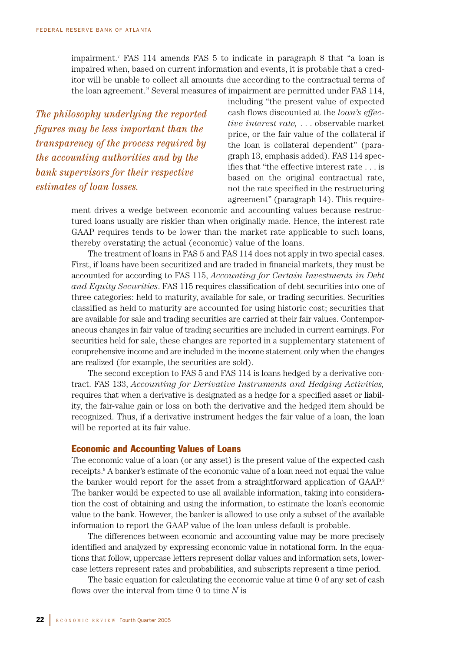impairment.7 FAS 114 amends FAS 5 to indicate in paragraph 8 that "a loan is impaired when, based on current information and events, it is probable that a creditor will be unable to collect all amounts due according to the contractual terms of the loan agreement." Several measures of impairment are permitted under FAS 114,

*The philosophy underlying the reported figures may be less important than the transparency of the process required by the accounting authorities and by the bank supervisors for their respective estimates of loan losses.*

including "the present value of expected cash flows discounted at the *loan's effective interest rate,* . . . observable market price, or the fair value of the collateral if the loan is collateral dependent" (paragraph 13, emphasis added). FAS 114 specifies that "the effective interest rate . . . is based on the original contractual rate, not the rate specified in the restructuring agreement" (paragraph 14). This require-

ment drives a wedge between economic and accounting values because restructured loans usually are riskier than when originally made. Hence, the interest rate GAAP requires tends to be lower than the market rate applicable to such loans, thereby overstating the actual (economic) value of the loans.

The treatment of loans in FAS 5 and FAS 114 does not apply in two special cases. First, if loans have been securitized and are traded in financial markets, they must be accounted for according to FAS 115, *Accounting for Certain Investments in Debt and Equity Securities*. FAS 115 requires classification of debt securities into one of three categories: held to maturity, available for sale, or trading securities. Securities classified as held to maturity are accounted for using historic cost; securities that are available for sale and trading securities are carried at their fair values. Contemporaneous changes in fair value of trading securities are included in current earnings. For securities held for sale, these changes are reported in a supplementary statement of comprehensive income and are included in the income statement only when the changes are realized (for example, the securities are sold).

The second exception to FAS 5 and FAS 114 is loans hedged by a derivative contract. FAS 133, *Accounting for Derivative Instruments and Hedging Activities,* requires that when a derivative is designated as a hedge for a specified asset or liability, the fair-value gain or loss on both the derivative and the hedged item should be recognized. Thus, if a derivative instrument hedges the fair value of a loan, the loan will be reported at its fair value.

# Economic and Accounting Values of Loans

The economic value of a loan (or any asset) is the present value of the expected cash receipts.<sup>8</sup> A banker's estimate of the economic value of a loan need not equal the value the banker would report for the asset from a straightforward application of GAAP.<sup>9</sup> The banker would be expected to use all available information, taking into consideration the cost of obtaining and using the information, to estimate the loan's economic value to the bank. However, the banker is allowed to use only a subset of the available information to report the GAAP value of the loan unless default is probable.

The differences between economic and accounting value may be more precisely identified and analyzed by expressing economic value in notational form. In the equations that follow, uppercase letters represent dollar values and information sets, lowercase letters represent rates and probabilities, and subscripts represent a time period.

The basic equation for calculating the economic value at time 0 of any set of cash flows over the interval from time 0 to time *N* is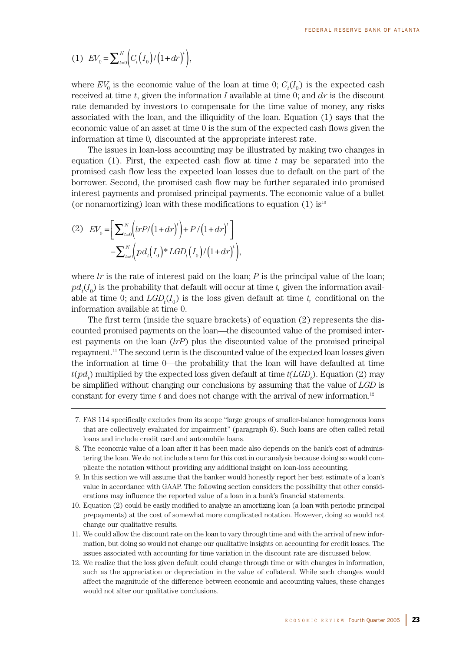(1) 
$$
EV_0 = \sum_{t=0}^{N} \Biggl( C_t \Bigl( I_0 \Bigr) / \Bigl( 1 + dr \Bigr)^t \Biggr),
$$

where  $EV_0$  is the economic value of the loan at time 0;  $C_t(I_0)$  is the expected cash received at time *t*, given the information *I* available at time 0; and *dr* is the discount rate demanded by investors to compensate for the time value of money, any risks associated with the loan, and the illiquidity of the loan. Equation (1) says that the economic value of an asset at time 0 is the sum of the expected cash flows given the information at time 0*,* discounted at the appropriate interest rate.

The issues in loan-loss accounting may be illustrated by making two changes in equation (1). First, the expected cash flow at time *t* may be separated into the promised cash flow less the expected loan losses due to default on the part of the borrower. Second, the promised cash flow may be further separated into promised interest payments and promised principal payments. The economic value of a bullet (or nonamortizing) loan with these modifications to equation  $(1)$  is<sup>10</sup>

(2) 
$$
EV_0 = \left[ \sum_{t=0}^{N} \left( trP / (1 + dr)^t \right) + P / (1 + dr)^t \right] - \sum_{t=0}^{N} \left( pd_t \left( I_0 \right) * LGD_t \left( I_0 \right) / (1 + dr)^t \right),
$$

where  $lr$  is the rate of interest paid on the loan;  $P$  is the principal value of the loan;  $pd_{\iota}(I_{0})$  is the probability that default will occur at time *t*, given the information available at time 0; and  $LGD<sub>t</sub>(I<sub>0</sub>)$  is the loss given default at time *t*, conditional on the information available at time 0.

The first term (inside the square brackets) of equation (2) represents the discounted promised payments on the loan—the discounted value of the promised interest payments on the loan (*lrP*) plus the discounted value of the promised principal repayment.11 The second term is the discounted value of the expected loan losses given the information at time 0—the probability that the loan will have defaulted at time  $t (pd<sub>t</sub>)$  multiplied by the expected loss given default at time  $t (LGD<sub>t</sub>)$ . Equation (2) may be simplified without changing our conclusions by assuming that the value of *LGD* is constant for every time  $t$  and does not change with the arrival of new information.<sup>12</sup>

<sup>7.</sup> FAS 114 specifically excludes from its scope "large groups of smaller-balance homogenous loans that are collectively evaluated for impairment" (paragraph 6). Such loans are often called retail loans and include credit card and automobile loans.

<sup>8.</sup> The economic value of a loan after it has been made also depends on the bank's cost of administering the loan. We do not include a term for this cost in our analysis because doing so would complicate the notation without providing any additional insight on loan-loss accounting.

<sup>9.</sup> In this section we will assume that the banker would honestly report her best estimate of a loan's value in accordance with GAAP. The following section considers the possibility that other considerations may influence the reported value of a loan in a bank's financial statements.

<sup>10.</sup> Equation (2) could be easily modified to analyze an amortizing loan (a loan with periodic principal prepayments) at the cost of somewhat more complicated notation. However, doing so would not change our qualitative results.

<sup>11.</sup> We could allow the discount rate on the loan to vary through time and with the arrival of new information, but doing so would not change our qualitative insights on accounting for credit losses. The issues associated with accounting for time variation in the discount rate are discussed below.

<sup>12.</sup> We realize that the loss given default could change through time or with changes in information, such as the appreciation or depreciation in the value of collateral. While such changes would affect the magnitude of the difference between economic and accounting values, these changes would not alter our qualitative conclusions.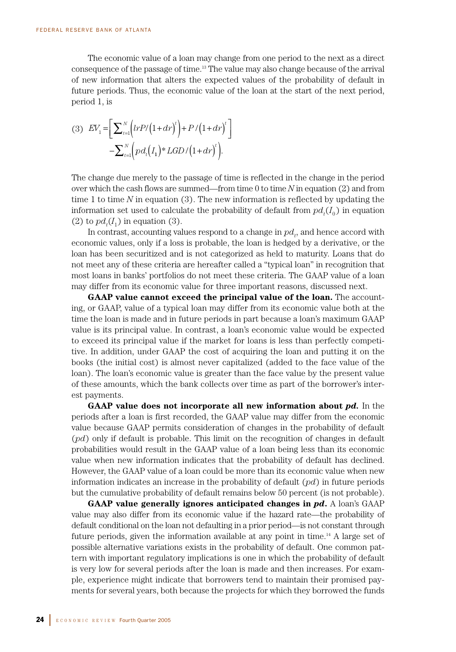The economic value of a loan may change from one period to the next as a direct consequence of the passage of time.13 The value may also change because of the arrival of new information that alters the expected values of the probability of default in future periods. Thus, the economic value of the loan at the start of the next period, period 1, is

$$
(3) \quad EV_1 = \left[ \sum_{t=1}^N \left( \frac{l r P}{1 + dr} \right)^t \right] + P / \left( 1 + dr \right)^t \right] - \sum_{t=1}^N \left( \frac{p d_t \left( I_1 \right)^* L G D / \left( 1 + dr \right)^t \right).
$$

The change due merely to the passage of time is reflected in the change in the period over which the cash flows are summed—from time 0 to time *N* in equation (2) and from time 1 to time *N* in equation (3). The new information is reflected by updating the information set used to calculate the probability of default from  $pd_{t}(I_{0})$  in equation (2) to  $pd<sub>t</sub>(I<sub>1</sub>)$  in equation (3).

In contrast, accounting values respond to a change in  $pd_{t}$ , and hence accord with economic values, only if a loss is probable, the loan is hedged by a derivative, or the loan has been securitized and is not categorized as held to maturity. Loans that do not meet any of these criteria are hereafter called a "typical loan" in recognition that most loans in banks' portfolios do not meet these criteria. The GAAP value of a loan may differ from its economic value for three important reasons, discussed next.

**GAAP value cannot exceed the principal value of the loan.** The accounting, or GAAP, value of a typical loan may differ from its economic value both at the time the loan is made and in future periods in part because a loan's maximum GAAP value is its principal value. In contrast, a loan's economic value would be expected to exceed its principal value if the market for loans is less than perfectly competitive. In addition, under GAAP the cost of acquiring the loan and putting it on the books (the initial cost) is almost never capitalized (added to the face value of the loan). The loan's economic value is greater than the face value by the present value of these amounts, which the bank collects over time as part of the borrower's interest payments.

**GAAP value does not incorporate all new information about** *pd.* In the periods after a loan is first recorded, the GAAP value may differ from the economic value because GAAP permits consideration of changes in the probability of default (*pd*) only if default is probable. This limit on the recognition of changes in default probabilities would result in the GAAP value of a loan being less than its economic value when new information indicates that the probability of default has declined. However, the GAAP value of a loan could be more than its economic value when new information indicates an increase in the probability of default (*pd*) in future periods but the cumulative probability of default remains below 50 percent (is not probable).

**GAAP value generally ignores anticipated changes in** *pd***.** A loan's GAAP value may also differ from its economic value if the hazard rate—the probability of default conditional on the loan not defaulting in a prior period—is not constant through future periods, given the information available at any point in time.14 A large set of possible alternative variations exists in the probability of default. One common pattern with important regulatory implications is one in which the probability of default is very low for several periods after the loan is made and then increases. For example, experience might indicate that borrowers tend to maintain their promised payments for several years, both because the projects for which they borrowed the funds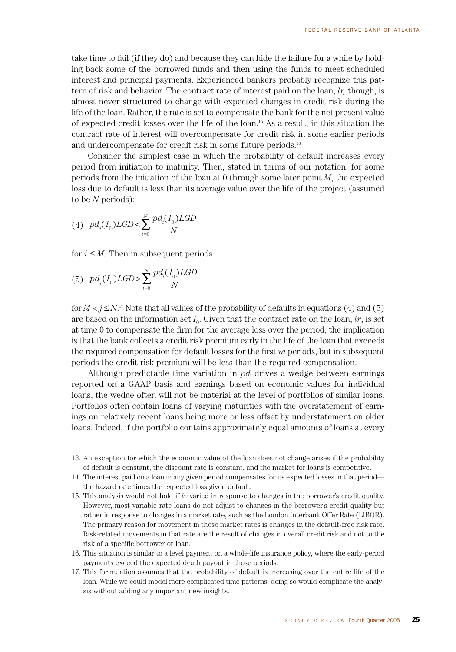take time to fail (if they do) and because they can hide the failure for a while by holding back some of the borrowed funds and then using the funds to meet scheduled interest and principal payments. Experienced bankers probably recognize this pattern of risk and behavior. The contract rate of interest paid on the loan, *lr,* though, is almost never structured to change with expected changes in credit risk during the life of the loan. Rather, the rate is set to compensate the bank for the net present value of expected credit losses over the life of the loan.15 As a result, in this situation the contract rate of interest will overcompensate for credit risk in some earlier periods and undercompensate for credit risk in some future periods.16

Consider the simplest case in which the probability of default increases every period from initiation to maturity. Then, stated in terms of our notation, for some periods from the initiation of the loan at 0 through some later point *M*, the expected loss due to default is less than its average value over the life of the project (assumed to be *N* periods):

(4) 
$$
p d_i(I_0) LGD < \sum_{i=0}^{N} \frac{p d_i(I_0) LGD}{N}
$$

for  $i \leq M$ . Then in subsequent periods

(5) 
$$
p d_j(I_0) LGD > \sum_{t=0}^{N} \frac{p d_t(I_0) LGD}{N}
$$

for  $M < j \le N$ .<sup>17</sup> Note that all values of the probability of defaults in equations (4) and (5) are based on the information set  $I_0$ . Given that the contract rate on the loan, *lr*, is set at time 0 to compensate the firm for the average loss over the period, the implication is that the bank collects a credit risk premium early in the life of the loan that exceeds the required compensation for default losses for the first *m* periods, but in subsequent periods the credit risk premium will be less than the required compensation.

Although predictable time variation in *pd* drives a wedge between earnings reported on a GAAP basis and earnings based on economic values for individual loans, the wedge often will not be material at the level of portfolios of similar loans. Portfolios often contain loans of varying maturities with the overstatement of earnings on relatively recent loans being more or less offset by understatement on older loans. Indeed, if the portfolio contains approximately equal amounts of loans at every

- 15. This analysis would not hold if *lr* varied in response to changes in the borrower's credit quality. However, most variable-rate loans do not adjust to changes in the borrower's credit quality but rather in response to changes in a market rate, such as the London Interbank Offer Rate (LIBOR). The primary reason for movement in these market rates is changes in the default-free risk rate. Risk-related movements in that rate are the result of changes in overall credit risk and not to the risk of a specific borrower or loan.
- 16. This situation is similar to a level payment on a whole-life insurance policy, where the early-period payments exceed the expected death payout in those periods.
- 17. This formulation assumes that the probability of default is increasing over the entire life of the loan. While we could model more complicated time patterns, doing so would complicate the analysis without adding any important new insights.

<sup>13.</sup> An exception for which the economic value of the loan does not change arises if the probability of default is constant, the discount rate is constant, and the market for loans is competitive.

<sup>14.</sup> The interest paid on a loan in any given period compensates for its expected losses in that period the hazard rate times the expected loss given default.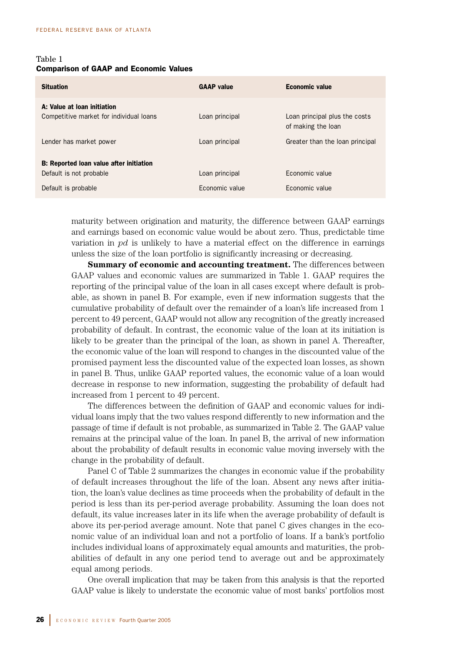# Table 1 Comparison of GAAP and Economic Values

| <b>Situation</b>                                                          | <b>GAAP</b> value | <b>Economic value</b>                               |
|---------------------------------------------------------------------------|-------------------|-----------------------------------------------------|
| A: Value at Ioan initiation<br>Competitive market for individual loans    | Loan principal    | Loan principal plus the costs<br>of making the loan |
| Lender has market power                                                   | Loan principal    | Greater than the loan principal                     |
| <b>B:</b> Reported Ioan value after initiation<br>Default is not probable | Loan principal    | Fconomic value                                      |
| Default is probable                                                       | Economic value    | Economic value                                      |

maturity between origination and maturity, the difference between GAAP earnings and earnings based on economic value would be about zero. Thus, predictable time variation in *pd* is unlikely to have a material effect on the difference in earnings unless the size of the loan portfolio is significantly increasing or decreasing.

**Summary of economic and accounting treatment.** The differences between GAAP values and economic values are summarized in Table 1. GAAP requires the reporting of the principal value of the loan in all cases except where default is probable, as shown in panel B. For example, even if new information suggests that the cumulative probability of default over the remainder of a loan's life increased from 1 percent to 49 percent, GAAP would not allow any recognition of the greatly increased probability of default. In contrast, the economic value of the loan at its initiation is likely to be greater than the principal of the loan, as shown in panel A. Thereafter, the economic value of the loan will respond to changes in the discounted value of the promised payment less the discounted value of the expected loan losses, as shown in panel B. Thus, unlike GAAP reported values, the economic value of a loan would decrease in response to new information, suggesting the probability of default had increased from 1 percent to 49 percent.

The differences between the definition of GAAP and economic values for individual loans imply that the two values respond differently to new information and the passage of time if default is not probable, as summarized in Table 2. The GAAP value remains at the principal value of the loan. In panel B, the arrival of new information about the probability of default results in economic value moving inversely with the change in the probability of default.

Panel C of Table 2 summarizes the changes in economic value if the probability of default increases throughout the life of the loan. Absent any news after initiation, the loan's value declines as time proceeds when the probability of default in the period is less than its per-period average probability. Assuming the loan does not default, its value increases later in its life when the average probability of default is above its per-period average amount. Note that panel C gives changes in the economic value of an individual loan and not a portfolio of loans. If a bank's portfolio includes individual loans of approximately equal amounts and maturities, the probabilities of default in any one period tend to average out and be approximately equal among periods.

One overall implication that may be taken from this analysis is that the reported GAAP value is likely to understate the economic value of most banks' portfolios most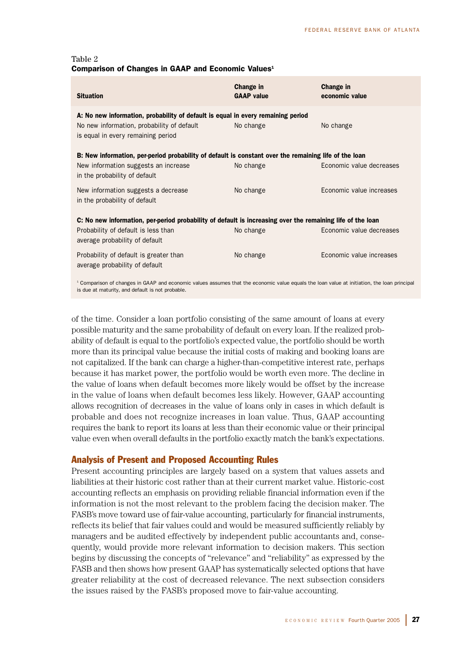| Table 2                                                        |  |  |  |
|----------------------------------------------------------------|--|--|--|
| Comparison of Changes in GAAP and Economic Values <sup>1</sup> |  |  |  |

| <b>Situation</b>                                                                                                                                                     | Change in<br><b>GAAP</b> value | Change in<br>economic value |  |
|----------------------------------------------------------------------------------------------------------------------------------------------------------------------|--------------------------------|-----------------------------|--|
| A: No new information, probability of default is equal in every remaining period<br>No new information, probability of default<br>is equal in every remaining period | No change                      | No change                   |  |
| B: New information, per-period probability of default is constant over the remaining life of the loan                                                                |                                |                             |  |
| New information suggests an increase<br>in the probability of default                                                                                                | No change                      | Economic value decreases    |  |
| New information suggests a decrease<br>in the probability of default                                                                                                 | No change                      | Economic value increases    |  |
| C: No new information, per-period probability of default is increasing over the remaining life of the loan                                                           |                                |                             |  |
| Probability of default is less than<br>average probability of default                                                                                                | No change                      | Economic value decreases    |  |
| Probability of default is greater than<br>average probability of default                                                                                             | No change                      | Economic value increases    |  |
| <sup>1</sup> Comparison of changes in GAAP and economic values assumes that the economic value equals the loan value at initiation, the loan principal               |                                |                             |  |

is due at maturity, and default is not probable.

of the time. Consider a loan portfolio consisting of the same amount of loans at every possible maturity and the same probability of default on every loan. If the realized probability of default is equal to the portfolio's expected value, the portfolio should be worth more than its principal value because the initial costs of making and booking loans are not capitalized. If the bank can charge a higher-than-competitive interest rate, perhaps because it has market power, the portfolio would be worth even more. The decline in the value of loans when default becomes more likely would be offset by the increase in the value of loans when default becomes less likely. However, GAAP accounting allows recognition of decreases in the value of loans only in cases in which default is probable and does not recognize increases in loan value. Thus, GAAP accounting requires the bank to report its loans at less than their economic value or their principal value even when overall defaults in the portfolio exactly match the bank's expectations.

# Analysis of Present and Proposed Accounting Rules

Present accounting principles are largely based on a system that values assets and liabilities at their historic cost rather than at their current market value. Historic-cost accounting reflects an emphasis on providing reliable financial information even if the information is not the most relevant to the problem facing the decision maker. The FASB's move toward use of fair-value accounting, particularly for financial instruments, reflects its belief that fair values could and would be measured sufficiently reliably by managers and be audited effectively by independent public accountants and, consequently, would provide more relevant information to decision makers. This section begins by discussing the concepts of "relevance" and "reliability" as expressed by the FASB and then shows how present GAAP has systematically selected options that have greater reliability at the cost of decreased relevance. The next subsection considers the issues raised by the FASB's proposed move to fair-value accounting.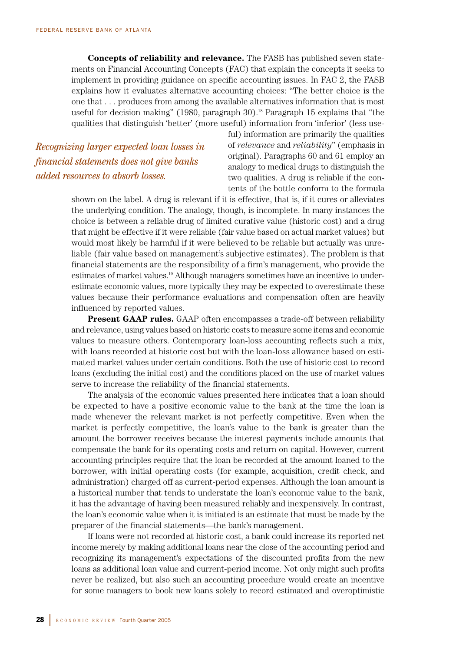**Concepts of reliability and relevance.** The FASB has published seven statements on Financial Accounting Concepts (FAC) that explain the concepts it seeks to implement in providing guidance on specific accounting issues. In FAC 2, the FASB explains how it evaluates alternative accounting choices: "The better choice is the one that . . . produces from among the available alternatives information that is most useful for decision making" (1980, paragraph 30).<sup>18</sup> Paragraph 15 explains that "the qualities that distinguish 'better' (more useful) information from 'inferior' (less use-

*Recognizing larger expected loan losses in financial statements does not give banks added resources to absorb losses.*

ful) information are primarily the qualities of *relevance* and *reliability*" (emphasis in original). Paragraphs 60 and 61 employ an analogy to medical drugs to distinguish the two qualities. A drug is reliable if the contents of the bottle conform to the formula

shown on the label. A drug is relevant if it is effective, that is, if it cures or alleviates the underlying condition. The analogy, though, is incomplete. In many instances the choice is between a reliable drug of limited curative value (historic cost) and a drug that might be effective if it were reliable (fair value based on actual market values) but would most likely be harmful if it were believed to be reliable but actually was unreliable (fair value based on management's subjective estimates). The problem is that financial statements are the responsibility of a firm's management, who provide the estimates of market values.19 Although managers sometimes have an incentive to underestimate economic values, more typically they may be expected to overestimate these values because their performance evaluations and compensation often are heavily influenced by reported values.

**Present GAAP rules.** GAAP often encompasses a trade-off between reliability and relevance, using values based on historic costs to measure some items and economic values to measure others. Contemporary loan-loss accounting reflects such a mix, with loans recorded at historic cost but with the loan-loss allowance based on estimated market values under certain conditions. Both the use of historic cost to record loans (excluding the initial cost) and the conditions placed on the use of market values serve to increase the reliability of the financial statements.

The analysis of the economic values presented here indicates that a loan should be expected to have a positive economic value to the bank at the time the loan is made whenever the relevant market is not perfectly competitive. Even when the market is perfectly competitive, the loan's value to the bank is greater than the amount the borrower receives because the interest payments include amounts that compensate the bank for its operating costs and return on capital. However, current accounting principles require that the loan be recorded at the amount loaned to the borrower, with initial operating costs (for example, acquisition, credit check, and administration) charged off as current-period expenses. Although the loan amount is a historical number that tends to understate the loan's economic value to the bank, it has the advantage of having been measured reliably and inexpensively. In contrast, the loan's economic value when it is initiated is an estimate that must be made by the preparer of the financial statements—the bank's management.

If loans were not recorded at historic cost, a bank could increase its reported net income merely by making additional loans near the close of the accounting period and recognizing its management's expectations of the discounted profits from the new loans as additional loan value and current-period income. Not only might such profits never be realized, but also such an accounting procedure would create an incentive for some managers to book new loans solely to record estimated and overoptimistic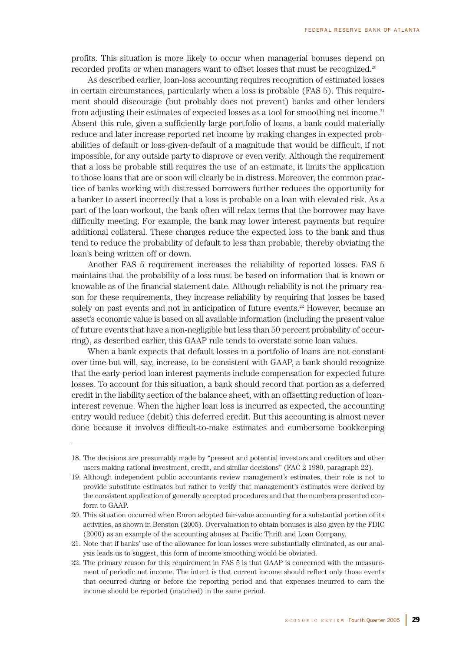profits. This situation is more likely to occur when managerial bonuses depend on recorded profits or when managers want to offset losses that must be recognized.<sup>20</sup>

As described earlier, loan-loss accounting requires recognition of estimated losses in certain circumstances, particularly when a loss is probable (FAS 5). This requirement should discourage (but probably does not prevent) banks and other lenders from adjusting their estimates of expected losses as a tool for smoothing net income. $21$ Absent this rule, given a sufficiently large portfolio of loans, a bank could materially reduce and later increase reported net income by making changes in expected probabilities of default or loss-given-default of a magnitude that would be difficult, if not impossible, for any outside party to disprove or even verify. Although the requirement that a loss be probable still requires the use of an estimate, it limits the application to those loans that are or soon will clearly be in distress. Moreover, the common practice of banks working with distressed borrowers further reduces the opportunity for a banker to assert incorrectly that a loss is probable on a loan with elevated risk. As a part of the loan workout, the bank often will relax terms that the borrower may have difficulty meeting. For example, the bank may lower interest payments but require additional collateral. These changes reduce the expected loss to the bank and thus tend to reduce the probability of default to less than probable, thereby obviating the loan's being written off or down.

Another FAS 5 requirement increases the reliability of reported losses. FAS 5 maintains that the probability of a loss must be based on information that is known or knowable as of the financial statement date. Although reliability is not the primary reason for these requirements, they increase reliability by requiring that losses be based solely on past events and not in anticipation of future events.<sup>22</sup> However, because an asset's economic value is based on all available information (including the present value of future events that have a non-negligible but less than 50 percent probability of occurring), as described earlier, this GAAP rule tends to overstate some loan values.

When a bank expects that default losses in a portfolio of loans are not constant over time but will, say, increase, to be consistent with GAAP, a bank should recognize that the early-period loan interest payments include compensation for expected future losses. To account for this situation, a bank should record that portion as a deferred credit in the liability section of the balance sheet, with an offsetting reduction of loaninterest revenue. When the higher loan loss is incurred as expected, the accounting entry would reduce (debit) this deferred credit. But this accounting is almost never done because it involves difficult-to-make estimates and cumbersome bookkeeping

<sup>18.</sup> The decisions are presumably made by "present and potential investors and creditors and other users making rational investment, credit, and similar decisions" (FAC 2 1980, paragraph 22).

<sup>19.</sup> Although independent public accountants review management's estimates, their role is not to provide substitute estimates but rather to verify that management's estimates were derived by the consistent application of generally accepted procedures and that the numbers presented conform to GAAP.

<sup>20.</sup> This situation occurred when Enron adopted fair-value accounting for a substantial portion of its activities, as shown in Benston (2005). Overvaluation to obtain bonuses is also given by the FDIC (2000) as an example of the accounting abuses at Pacific Thrift and Loan Company.

<sup>21.</sup> Note that if banks' use of the allowance for loan losses were substantially eliminated, as our analysis leads us to suggest, this form of income smoothing would be obviated.

<sup>22.</sup> The primary reason for this requirement in FAS 5 is that GAAP is concerned with the measurement of periodic net income. The intent is that current income should reflect only those events that occurred during or before the reporting period and that expenses incurred to earn the income should be reported (matched) in the same period.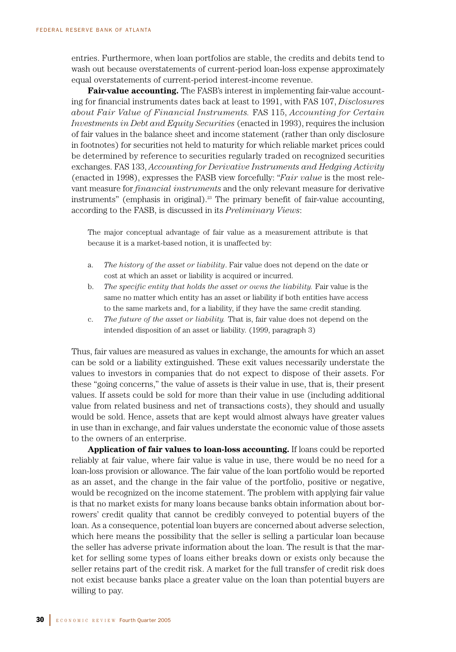entries. Furthermore, when loan portfolios are stable, the credits and debits tend to wash out because overstatements of current-period loan-loss expense approximately equal overstatements of current-period interest-income revenue.

**Fair-value accounting.** The FASB's interest in implementing fair-value accounting for financial instruments dates back at least to 1991, with FAS 107, *Disclosures about Fair Value of Financial Instruments.* FAS 115, *Accounting for Certain Investments in Debt and Equity Securities* (enacted in 1993), requires the inclusion of fair values in the balance sheet and income statement (rather than only disclosure in footnotes) for securities not held to maturity for which reliable market prices could be determined by reference to securities regularly traded on recognized securities exchanges. FAS 133, *Accounting for Derivative Instruments and Hedging Activity* (enacted in 1998), expresses the FASB view forcefully: "*Fair value* is the most relevant measure for *financial instruments* and the only relevant measure for derivative instruments" (emphasis in original).<sup>23</sup> The primary benefit of fair-value accounting, according to the FASB, is discussed in its *Preliminary Views*:

The major conceptual advantage of fair value as a measurement attribute is that because it is a market-based notion, it is unaffected by:

- a. *The history of the asset or liability*. Fair value does not depend on the date or cost at which an asset or liability is acquired or incurred.
- b. *The specific entity that holds the asset or owns the liability.* Fair value is the same no matter which entity has an asset or liability if both entities have access to the same markets and, for a liability, if they have the same credit standing.
- c. *The future of the asset or liability.* That is, fair value does not depend on the intended disposition of an asset or liability. (1999, paragraph 3)

Thus, fair values are measured as values in exchange, the amounts for which an asset can be sold or a liability extinguished. These exit values necessarily understate the values to investors in companies that do not expect to dispose of their assets. For these "going concerns," the value of assets is their value in use, that is, their present values. If assets could be sold for more than their value in use (including additional value from related business and net of transactions costs), they should and usually would be sold. Hence, assets that are kept would almost always have greater values in use than in exchange, and fair values understate the economic value of those assets to the owners of an enterprise.

**Application of fair values to loan-loss accounting.** If loans could be reported reliably at fair value, where fair value is value in use, there would be no need for a loan-loss provision or allowance. The fair value of the loan portfolio would be reported as an asset, and the change in the fair value of the portfolio, positive or negative, would be recognized on the income statement. The problem with applying fair value is that no market exists for many loans because banks obtain information about borrowers' credit quality that cannot be credibly conveyed to potential buyers of the loan. As a consequence, potential loan buyers are concerned about adverse selection, which here means the possibility that the seller is selling a particular loan because the seller has adverse private information about the loan. The result is that the market for selling some types of loans either breaks down or exists only because the seller retains part of the credit risk. A market for the full transfer of credit risk does not exist because banks place a greater value on the loan than potential buyers are willing to pay.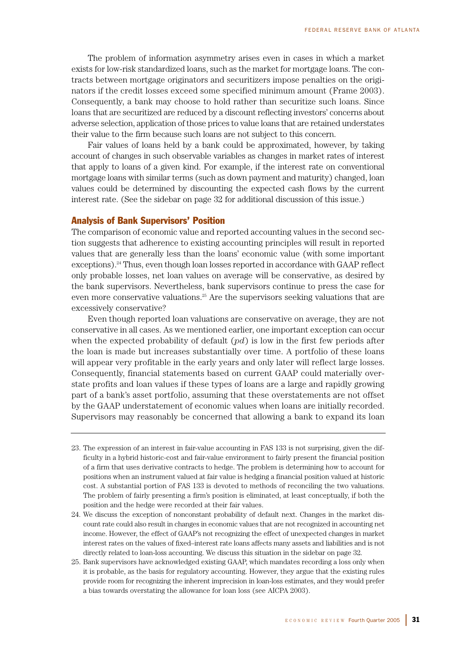The problem of information asymmetry arises even in cases in which a market exists for low-risk standardized loans, such as the market for mortgage loans. The contracts between mortgage originators and securitizers impose penalties on the originators if the credit losses exceed some specified minimum amount (Frame 2003). Consequently, a bank may choose to hold rather than securitize such loans. Since loans that are securitized are reduced by a discount reflecting investors' concerns about adverse selection, application of those prices to value loans that are retained understates their value to the firm because such loans are not subject to this concern.

Fair values of loans held by a bank could be approximated, however, by taking account of changes in such observable variables as changes in market rates of interest that apply to loans of a given kind. For example, if the interest rate on conventional mortgage loans with similar terms (such as down payment and maturity) changed, loan values could be determined by discounting the expected cash flows by the current interest rate. (See the sidebar on page 32 for additional discussion of this issue.)

# Analysis of Bank Supervisors' Position

The comparison of economic value and reported accounting values in the second section suggests that adherence to existing accounting principles will result in reported values that are generally less than the loans' economic value (with some important exceptions).<sup>24</sup> Thus, even though loan losses reported in accordance with GAAP reflect only probable losses, net loan values on average will be conservative, as desired by the bank supervisors. Nevertheless, bank supervisors continue to press the case for even more conservative valuations.<sup>25</sup> Are the supervisors seeking valuations that are excessively conservative?

Even though reported loan valuations are conservative on average, they are not conservative in all cases. As we mentioned earlier, one important exception can occur when the expected probability of default (*pd*) is low in the first few periods after the loan is made but increases substantially over time. A portfolio of these loans will appear very profitable in the early years and only later will reflect large losses. Consequently, financial statements based on current GAAP could materially overstate profits and loan values if these types of loans are a large and rapidly growing part of a bank's asset portfolio, assuming that these overstatements are not offset by the GAAP understatement of economic values when loans are initially recorded. Supervisors may reasonably be concerned that allowing a bank to expand its loan

<sup>23.</sup> The expression of an interest in fair-value accounting in FAS 133 is not surprising, given the difficulty in a hybrid historic-cost and fair-value environment to fairly present the financial position of a firm that uses derivative contracts to hedge. The problem is determining how to account for positions when an instrument valued at fair value is hedging a financial position valued at historic cost. A substantial portion of FAS 133 is devoted to methods of reconciling the two valuations. The problem of fairly presenting a firm's position is eliminated, at least conceptually, if both the position and the hedge were recorded at their fair values.

<sup>24.</sup> We discuss the exception of nonconstant probability of default next. Changes in the market discount rate could also result in changes in economic values that are not recognized in accounting net income. However, the effect of GAAP's not recognizing the effect of unexpected changes in market interest rates on the values of fixed–interest rate loans affects many assets and liabilities and is not directly related to loan-loss accounting. We discuss this situation in the sidebar on page 32.

<sup>25.</sup> Bank supervisors have acknowledged existing GAAP, which mandates recording a loss only when it is probable, as the basis for regulatory accounting. However, they argue that the existing rules provide room for recognizing the inherent imprecision in loan-loss estimates, and they would prefer a bias towards overstating the allowance for loan loss (see AICPA 2003).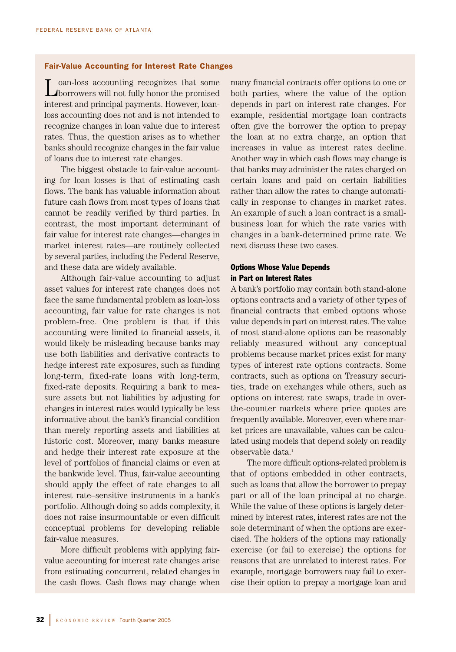## Fair-Value Accounting for Interest Rate Changes

oan-loss accounting recognizes that some borrowers will not fully honor the promised interest and principal payments. However, loanloss accounting does not and is not intended to recognize changes in loan value due to interest rates. Thus, the question arises as to whether banks should recognize changes in the fair value of loans due to interest rate changes.

The biggest obstacle to fair-value accounting for loan losses is that of estimating cash flows. The bank has valuable information about future cash flows from most types of loans that cannot be readily verified by third parties. In contrast, the most important determinant of fair value for interest rate changes—changes in market interest rates—are routinely collected by several parties, including the Federal Reserve, and these data are widely available.

Although fair-value accounting to adjust asset values for interest rate changes does not face the same fundamental problem as loan-loss accounting, fair value for rate changes is not problem-free. One problem is that if this accounting were limited to financial assets, it would likely be misleading because banks may use both liabilities and derivative contracts to hedge interest rate exposures, such as funding long-term, fixed-rate loans with long-term, fixed-rate deposits. Requiring a bank to measure assets but not liabilities by adjusting for changes in interest rates would typically be less informative about the bank's financial condition than merely reporting assets and liabilities at historic cost. Moreover, many banks measure and hedge their interest rate exposure at the level of portfolios of financial claims or even at the bankwide level. Thus, fair-value accounting should apply the effect of rate changes to all interest rate–sensitive instruments in a bank's portfolio. Although doing so adds complexity, it does not raise insurmountable or even difficult conceptual problems for developing reliable fair-value measures.

More difficult problems with applying fairvalue accounting for interest rate changes arise from estimating concurrent, related changes in the cash flows. Cash flows may change when many financial contracts offer options to one or both parties, where the value of the option depends in part on interest rate changes. For example, residential mortgage loan contracts often give the borrower the option to prepay the loan at no extra charge, an option that increases in value as interest rates decline. Another way in which cash flows may change is that banks may administer the rates charged on certain loans and paid on certain liabilities rather than allow the rates to change automatically in response to changes in market rates. An example of such a loan contract is a smallbusiness loan for which the rate varies with changes in a bank-determined prime rate. We next discuss these two cases.

# Options Whose Value Depends in Part on Interest Rates

A bank's portfolio may contain both stand-alone options contracts and a variety of other types of financial contracts that embed options whose value depends in part on interest rates. The value of most stand-alone options can be reasonably reliably measured without any conceptual problems because market prices exist for many types of interest rate options contracts. Some contracts, such as options on Treasury securities, trade on exchanges while others, such as options on interest rate swaps, trade in overthe-counter markets where price quotes are frequently available. Moreover, even where market prices are unavailable, values can be calculated using models that depend solely on readily observable data.<sup>1</sup>

The more difficult options-related problem is that of options embedded in other contracts, such as loans that allow the borrower to prepay part or all of the loan principal at no charge. While the value of these options is largely determined by interest rates, interest rates are not the sole determinant of when the options are exercised. The holders of the options may rationally exercise (or fail to exercise) the options for reasons that are unrelated to interest rates. For example, mortgage borrowers may fail to exercise their option to prepay a mortgage loan and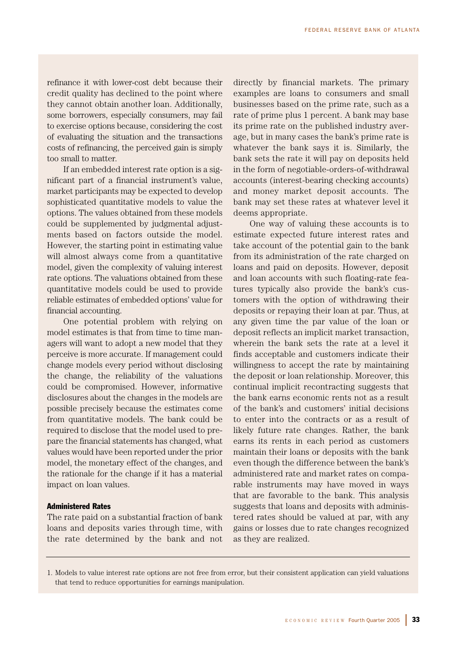refinance it with lower-cost debt because their credit quality has declined to the point where they cannot obtain another loan. Additionally, some borrowers, especially consumers, may fail to exercise options because, considering the cost of evaluating the situation and the transactions costs of refinancing, the perceived gain is simply too small to matter.

If an embedded interest rate option is a significant part of a financial instrument's value, market participants may be expected to develop sophisticated quantitative models to value the options. The values obtained from these models could be supplemented by judgmental adjustments based on factors outside the model. However, the starting point in estimating value will almost always come from a quantitative model, given the complexity of valuing interest rate options. The valuations obtained from these quantitative models could be used to provide reliable estimates of embedded options' value for financial accounting.

One potential problem with relying on model estimates is that from time to time managers will want to adopt a new model that they perceive is more accurate. If management could change models every period without disclosing the change, the reliability of the valuations could be compromised. However, informative disclosures about the changes in the models are possible precisely because the estimates come from quantitative models. The bank could be required to disclose that the model used to prepare the financial statements has changed, what values would have been reported under the prior model, the monetary effect of the changes, and the rationale for the change if it has a material impact on loan values.

# Administered Rates

The rate paid on a substantial fraction of bank loans and deposits varies through time, with the rate determined by the bank and not directly by financial markets. The primary examples are loans to consumers and small businesses based on the prime rate, such as a rate of prime plus 1 percent. A bank may base its prime rate on the published industry average, but in many cases the bank's prime rate is whatever the bank says it is. Similarly, the bank sets the rate it will pay on deposits held in the form of negotiable-orders-of-withdrawal accounts (interest-bearing checking accounts) and money market deposit accounts. The bank may set these rates at whatever level it deems appropriate.

One way of valuing these accounts is to estimate expected future interest rates and take account of the potential gain to the bank from its administration of the rate charged on loans and paid on deposits. However, deposit and loan accounts with such floating-rate features typically also provide the bank's customers with the option of withdrawing their deposits or repaying their loan at par. Thus, at any given time the par value of the loan or deposit reflects an implicit market transaction, wherein the bank sets the rate at a level it finds acceptable and customers indicate their willingness to accept the rate by maintaining the deposit or loan relationship. Moreover, this continual implicit recontracting suggests that the bank earns economic rents not as a result of the bank's and customers' initial decisions to enter into the contracts or as a result of likely future rate changes. Rather, the bank earns its rents in each period as customers maintain their loans or deposits with the bank even though the difference between the bank's administered rate and market rates on comparable instruments may have moved in ways that are favorable to the bank. This analysis suggests that loans and deposits with administered rates should be valued at par, with any gains or losses due to rate changes recognized as they are realized.

<sup>1.</sup> Models to value interest rate options are not free from error, but their consistent application can yield valuations that tend to reduce opportunities for earnings manipulation.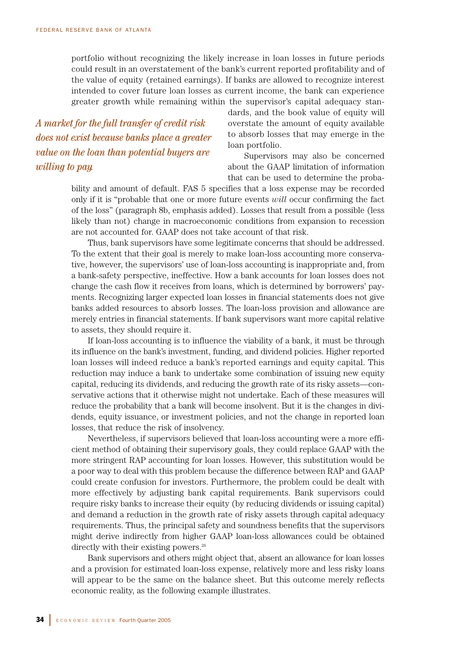portfolio without recognizing the likely increase in loan losses in future periods could result in an overstatement of the bank's current reported profitability and of the value of equity (retained earnings). If banks are allowed to recognize interest intended to cover future loan losses as current income, the bank can experience greater growth while remaining within the supervisor's capital adequacy stan-

*A market for the full transfer of credit risk does not exist because banks place a greater value on the loan than potential buyers are willing to pay.*

dards, and the book value of equity will overstate the amount of equity available to absorb losses that may emerge in the loan portfolio.

Supervisors may also be concerned about the GAAP limitation of information that can be used to determine the proba-

bility and amount of default. FAS 5 specifies that a loss expense may be recorded only if it is "probable that one or more future events *will* occur confirming the fact of the loss" (paragraph 8b, emphasis added). Losses that result from a possible (less likely than not) change in macroeconomic conditions from expansion to recession are not accounted for. GAAP does not take account of that risk.

Thus, bank supervisors have some legitimate concerns that should be addressed. To the extent that their goal is merely to make loan-loss accounting more conservative, however, the supervisors' use of loan-loss accounting is inappropriate and, from a bank-safety perspective, ineffective. How a bank accounts for loan losses does not change the cash flow it receives from loans, which is determined by borrowers' payments. Recognizing larger expected loan losses in financial statements does not give banks added resources to absorb losses. The loan-loss provision and allowance are merely entries in financial statements. If bank supervisors want more capital relative to assets, they should require it.

If loan-loss accounting is to influence the viability of a bank, it must be through its influence on the bank's investment, funding, and dividend policies. Higher reported loan losses will indeed reduce a bank's reported earnings and equity capital. This reduction may induce a bank to undertake some combination of issuing new equity capital, reducing its dividends, and reducing the growth rate of its risky assets—conservative actions that it otherwise might not undertake. Each of these measures will reduce the probability that a bank will become insolvent. But it is the changes in dividends, equity issuance, or investment policies, and not the change in reported loan losses, that reduce the risk of insolvency.

Nevertheless, if supervisors believed that loan-loss accounting were a more efficient method of obtaining their supervisory goals, they could replace GAAP with the more stringent RAP accounting for loan losses. However, this substitution would be a poor way to deal with this problem because the difference between RAP and GAAP could create confusion for investors. Furthermore, the problem could be dealt with more effectively by adjusting bank capital requirements. Bank supervisors could require risky banks to increase their equity (by reducing dividends or issuing capital) and demand a reduction in the growth rate of risky assets through capital adequacy requirements. Thus, the principal safety and soundness benefits that the supervisors might derive indirectly from higher GAAP loan-loss allowances could be obtained directly with their existing powers.<sup>26</sup>

Bank supervisors and others might object that, absent an allowance for loan losses and a provision for estimated loan-loss expense, relatively more and less risky loans will appear to be the same on the balance sheet. But this outcome merely reflects economic reality, as the following example illustrates.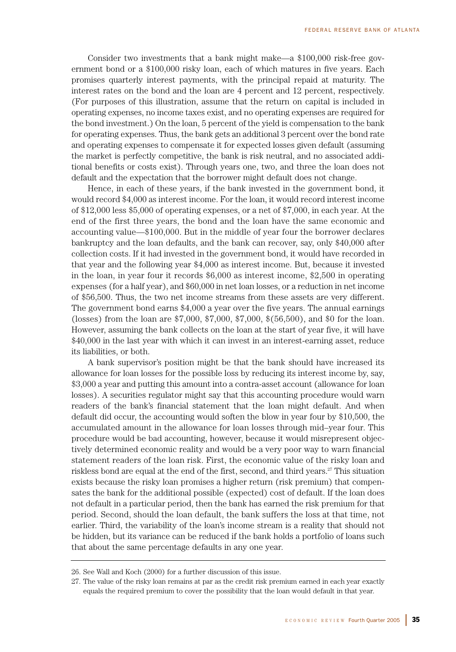Consider two investments that a bank might make—a \$100,000 risk-free government bond or a \$100,000 risky loan, each of which matures in five years. Each promises quarterly interest payments, with the principal repaid at maturity. The interest rates on the bond and the loan are 4 percent and 12 percent, respectively. (For purposes of this illustration, assume that the return on capital is included in operating expenses, no income taxes exist, and no operating expenses are required for the bond investment.) On the loan, 5 percent of the yield is compensation to the bank for operating expenses. Thus, the bank gets an additional 3 percent over the bond rate and operating expenses to compensate it for expected losses given default (assuming the market is perfectly competitive, the bank is risk neutral, and no associated additional benefits or costs exist). Through years one, two, and three the loan does not default and the expectation that the borrower might default does not change.

Hence, in each of these years, if the bank invested in the government bond, it would record \$4,000 as interest income. For the loan, it would record interest income of \$12,000 less \$5,000 of operating expenses, or a net of \$7,000, in each year. At the end of the first three years, the bond and the loan have the same economic and accounting value—\$100,000. But in the middle of year four the borrower declares bankruptcy and the loan defaults, and the bank can recover, say, only \$40,000 after collection costs. If it had invested in the government bond, it would have recorded in that year and the following year \$4,000 as interest income. But, because it invested in the loan, in year four it records \$6,000 as interest income, \$2,500 in operating expenses (for a half year), and \$60,000 in net loan losses, or a reduction in net income of \$56,500. Thus, the two net income streams from these assets are very different. The government bond earns \$4,000 a year over the five years. The annual earnings (losses) from the loan are \$7,000, \$7,000, \$7,000, \$(56,500), and \$0 for the loan. However, assuming the bank collects on the loan at the start of year five, it will have \$40,000 in the last year with which it can invest in an interest-earning asset, reduce its liabilities, or both.

A bank supervisor's position might be that the bank should have increased its allowance for loan losses for the possible loss by reducing its interest income by, say, \$3,000 a year and putting this amount into a contra-asset account (allowance for loan losses). A securities regulator might say that this accounting procedure would warn readers of the bank's financial statement that the loan might default. And when default did occur, the accounting would soften the blow in year four by \$10,500, the accumulated amount in the allowance for loan losses through mid–year four. This procedure would be bad accounting, however, because it would misrepresent objectively determined economic reality and would be a very poor way to warn financial statement readers of the loan risk. First, the economic value of the risky loan and riskless bond are equal at the end of the first, second, and third years.<sup>27</sup> This situation exists because the risky loan promises a higher return (risk premium) that compensates the bank for the additional possible (expected) cost of default. If the loan does not default in a particular period, then the bank has earned the risk premium for that period. Second, should the loan default, the bank suffers the loss at that time, not earlier. Third, the variability of the loan's income stream is a reality that should not be hidden, but its variance can be reduced if the bank holds a portfolio of loans such that about the same percentage defaults in any one year.

<sup>26.</sup> See Wall and Koch (2000) for a further discussion of this issue.

<sup>27.</sup> The value of the risky loan remains at par as the credit risk premium earned in each year exactly equals the required premium to cover the possibility that the loan would default in that year.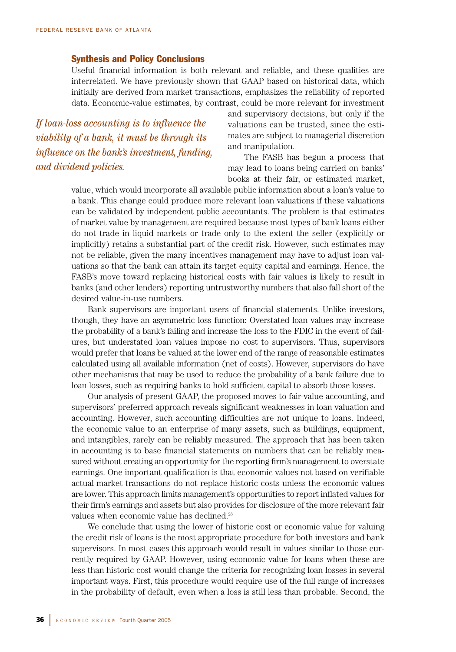# Synthesis and Policy Conclusions

Useful financial information is both relevant and reliable, and these qualities are interrelated. We have previously shown that GAAP based on historical data, which initially are derived from market transactions, emphasizes the reliability of reported data. Economic-value estimates, by contrast, could be more relevant for investment

*If loan-loss accounting is to influence the viability of a bank, it must be through its influence on the bank's investment, funding, and dividend policies.*

and supervisory decisions, but only if the valuations can be trusted, since the estimates are subject to managerial discretion and manipulation.

The FASB has begun a process that may lead to loans being carried on banks' books at their fair, or estimated market,

value, which would incorporate all available public information about a loan's value to a bank. This change could produce more relevant loan valuations if these valuations can be validated by independent public accountants. The problem is that estimates of market value by management are required because most types of bank loans either do not trade in liquid markets or trade only to the extent the seller (explicitly or implicitly) retains a substantial part of the credit risk. However, such estimates may not be reliable, given the many incentives management may have to adjust loan valuations so that the bank can attain its target equity capital and earnings. Hence, the FASB's move toward replacing historical costs with fair values is likely to result in banks (and other lenders) reporting untrustworthy numbers that also fall short of the desired value-in-use numbers.

Bank supervisors are important users of financial statements. Unlike investors, though, they have an asymmetric loss function: Overstated loan values may increase the probability of a bank's failing and increase the loss to the FDIC in the event of failures, but understated loan values impose no cost to supervisors. Thus, supervisors would prefer that loans be valued at the lower end of the range of reasonable estimates calculated using all available information (net of costs). However, supervisors do have other mechanisms that may be used to reduce the probability of a bank failure due to loan losses, such as requiring banks to hold sufficient capital to absorb those losses.

Our analysis of present GAAP, the proposed moves to fair-value accounting, and supervisors' preferred approach reveals significant weaknesses in loan valuation and accounting. However, such accounting difficulties are not unique to loans. Indeed, the economic value to an enterprise of many assets, such as buildings, equipment, and intangibles, rarely can be reliably measured. The approach that has been taken in accounting is to base financial statements on numbers that can be reliably measured without creating an opportunity for the reporting firm's management to overstate earnings. One important qualification is that economic values not based on verifiable actual market transactions do not replace historic costs unless the economic values are lower. This approach limits management's opportunities to report inflated values for their firm's earnings and assets but also provides for disclosure of the more relevant fair values when economic value has declined.<sup>28</sup>

We conclude that using the lower of historic cost or economic value for valuing the credit risk of loans is the most appropriate procedure for both investors and bank supervisors. In most cases this approach would result in values similar to those currently required by GAAP. However, using economic value for loans when these are less than historic cost would change the criteria for recognizing loan losses in several important ways. First, this procedure would require use of the full range of increases in the probability of default, even when a loss is still less than probable. Second, the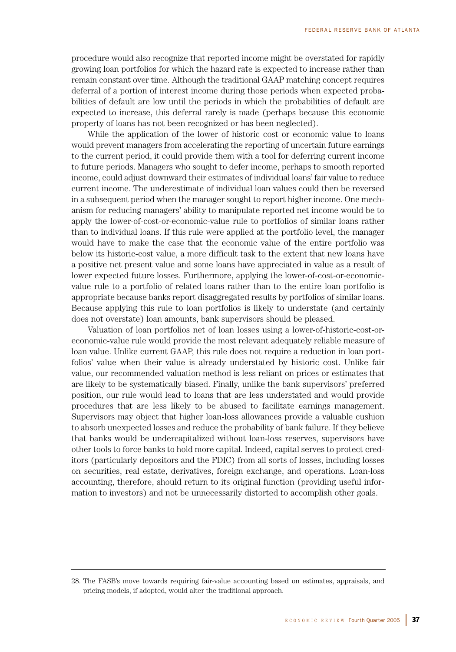procedure would also recognize that reported income might be overstated for rapidly growing loan portfolios for which the hazard rate is expected to increase rather than remain constant over time. Although the traditional GAAP matching concept requires deferral of a portion of interest income during those periods when expected probabilities of default are low until the periods in which the probabilities of default are expected to increase, this deferral rarely is made (perhaps because this economic property of loans has not been recognized or has been neglected).

While the application of the lower of historic cost or economic value to loans would prevent managers from accelerating the reporting of uncertain future earnings to the current period, it could provide them with a tool for deferring current income to future periods. Managers who sought to defer income, perhaps to smooth reported income, could adjust downward their estimates of individual loans' fair value to reduce current income. The underestimate of individual loan values could then be reversed in a subsequent period when the manager sought to report higher income. One mechanism for reducing managers' ability to manipulate reported net income would be to apply the lower-of-cost-or-economic-value rule to portfolios of similar loans rather than to individual loans. If this rule were applied at the portfolio level, the manager would have to make the case that the economic value of the entire portfolio was below its historic-cost value, a more difficult task to the extent that new loans have a positive net present value and some loans have appreciated in value as a result of lower expected future losses. Furthermore, applying the lower-of-cost-or-economicvalue rule to a portfolio of related loans rather than to the entire loan portfolio is appropriate because banks report disaggregated results by portfolios of similar loans. Because applying this rule to loan portfolios is likely to understate (and certainly does not overstate) loan amounts, bank supervisors should be pleased.

Valuation of loan portfolios net of loan losses using a lower-of-historic-cost-oreconomic-value rule would provide the most relevant adequately reliable measure of loan value. Unlike current GAAP, this rule does not require a reduction in loan portfolios' value when their value is already understated by historic cost. Unlike fair value, our recommended valuation method is less reliant on prices or estimates that are likely to be systematically biased. Finally, unlike the bank supervisors' preferred position, our rule would lead to loans that are less understated and would provide procedures that are less likely to be abused to facilitate earnings management. Supervisors may object that higher loan-loss allowances provide a valuable cushion to absorb unexpected losses and reduce the probability of bank failure. If they believe that banks would be undercapitalized without loan-loss reserves, supervisors have other tools to force banks to hold more capital. Indeed, capital serves to protect creditors (particularly depositors and the FDIC) from all sorts of losses, including losses on securities, real estate, derivatives, foreign exchange, and operations. Loan-loss accounting, therefore, should return to its original function (providing useful information to investors) and not be unnecessarily distorted to accomplish other goals.

<sup>28.</sup> The FASB's move towards requiring fair-value accounting based on estimates, appraisals, and pricing models, if adopted, would alter the traditional approach.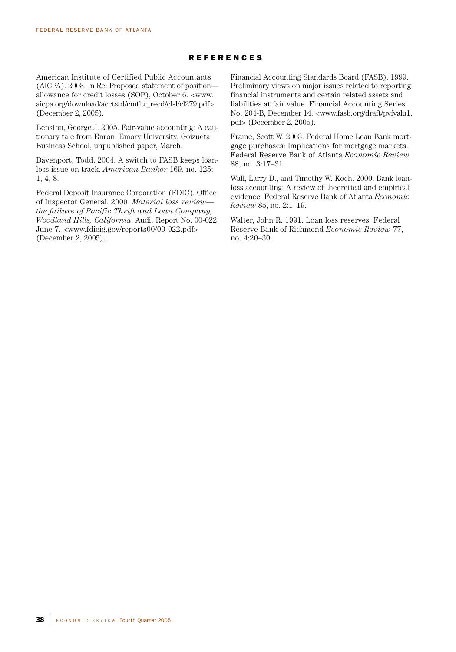# REFERENCES

American Institute of Certified Public Accountants (AICPA). 2003. In Re: Proposed statement of position allowance for credit losses (SOP), October 6. <www. aicpa.org/download/acctstd/cmtltr\_recd/clsl/cl279.pdf> (December 2, 2005).

Benston, George J. 2005. Fair-value accounting: A cautionary tale from Enron. Emory University, Goizueta Business School, unpublished paper, March.

Davenport, Todd. 2004. A switch to FASB keeps loanloss issue on track. *American Banker* 169, no. 125: 1, 4, 8.

Federal Deposit Insurance Corporation (FDIC). Office of Inspector General. 2000*. Material loss review the failure of Pacific Thrift and Loan Company, Woodland Hills, California*. Audit Report No. 00-022, June 7. <www.fdicig.gov/reports00/00-022.pdf> (December 2, 2005).

Financial Accounting Standards Board (FASB). 1999. Preliminary views on major issues related to reporting financial instruments and certain related assets and liabilities at fair value. Financial Accounting Series No. 204-B, December 14. <www.fasb.org/draft/pvfvalu1. pdf> (December 2, 2005).

Frame, Scott W. 2003. Federal Home Loan Bank mortgage purchases: Implications for mortgage markets. Federal Reserve Bank of Atlanta *Economic Review* 88, no. 3:17–31.

Wall, Larry D., and Timothy W. Koch. 2000. Bank loanloss accounting: A review of theoretical and empirical evidence. Federal Reserve Bank of Atlanta *Economic Review* 85, no. 2:1–19.

Walter, John R. 1991. Loan loss reserves. Federal Reserve Bank of Richmond *Economic Review* 77, no. 4:20–30.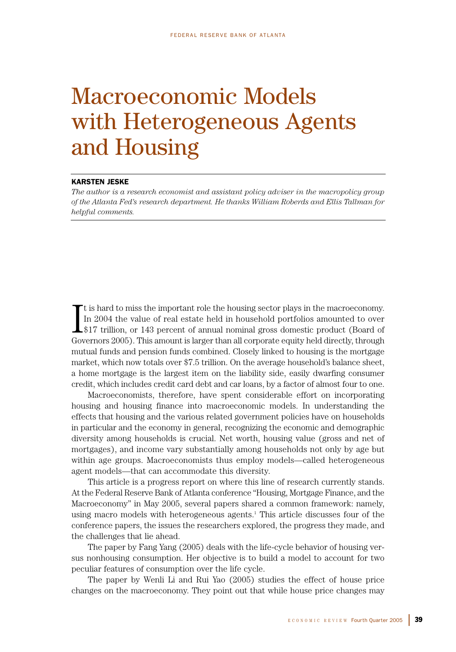# Macroeconomic Models with Heterogeneous Agents and Housing

# KARSTEN JESKE

*The author is a research economist and assistant policy adviser in the macropolicy group of the Atlanta Fed's research department. He thanks William Roberds and Ellis Tallman for helpful comments.*

I t is hard to miss the important role the housing sector plays in the macroeconomy. In 2004 the value of real estate held in household portfolios amounted to over \$17 trillion, or 143 percent of annual nominal gross domestic product (Board of Governors 2005). This amount is larger than all corporate equity held directly, through mutual funds and pension funds combined. Closely linked to housing is the mortgage market, which now totals over \$7.5 trillion. On the average household's balance sheet, a home mortgage is the largest item on the liability side, easily dwarfing consumer credit, which includes credit card debt and car loans, by a factor of almost four to one.

Macroeconomists, therefore, have spent considerable effort on incorporating housing and housing finance into macroeconomic models. In understanding the effects that housing and the various related government policies have on households in particular and the economy in general, recognizing the economic and demographic diversity among households is crucial. Net worth, housing value (gross and net of mortgages), and income vary substantially among households not only by age but within age groups. Macroeconomists thus employ models—called heterogeneous agent models—that can accommodate this diversity.

This article is a progress report on where this line of research currently stands. At the Federal Reserve Bank of Atlanta conference "Housing, Mortgage Finance, and the Macroeconomy" in May 2005, several papers shared a common framework: namely, using macro models with heterogeneous agents.<sup>1</sup> This article discusses four of the conference papers, the issues the researchers explored, the progress they made, and the challenges that lie ahead.

The paper by Fang Yang (2005) deals with the life-cycle behavior of housing versus nonhousing consumption. Her objective is to build a model to account for two peculiar features of consumption over the life cycle.

The paper by Wenli Li and Rui Yao (2005) studies the effect of house price changes on the macroeconomy. They point out that while house price changes may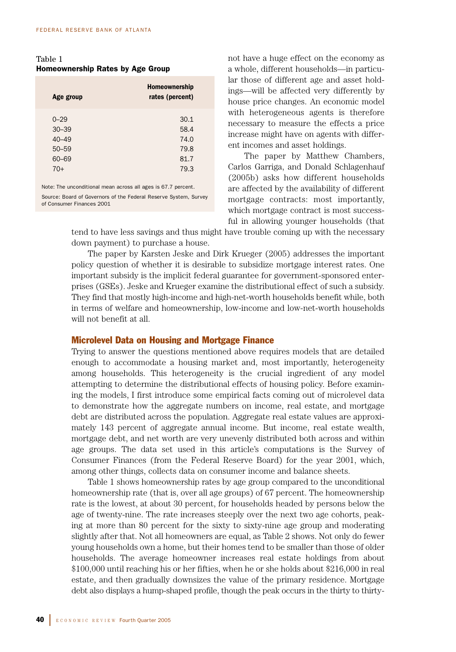Table 1 Homeownership Rates by Age Group

| Age group                                                     | Homeownership<br>rates (percent) |  |  |
|---------------------------------------------------------------|----------------------------------|--|--|
| $0 - 29$                                                      | 30.1                             |  |  |
| $30 - 39$                                                     | 58.4                             |  |  |
| $40 - 49$                                                     | 74.0                             |  |  |
| $50 - 59$                                                     | 79.8                             |  |  |
| 60-69                                                         | 81.7                             |  |  |
| $70+$                                                         | 79.3                             |  |  |
| Note: The unconditional mean across all ages is 67.7 percent. |                                  |  |  |

Source: Board of Governors of the Federal Reserve System, Survey of Consumer Finances 2001

not have a huge effect on the economy as a whole, different households—in particular those of different age and asset holdings—will be affected very differently by house price changes. An economic model with heterogeneous agents is therefore necessary to measure the effects a price increase might have on agents with different incomes and asset holdings.

The paper by Matthew Chambers, Carlos Garriga, and Donald Schlagenhauf (2005b) asks how different households are affected by the availability of different mortgage contracts: most importantly, which mortgage contract is most successful in allowing younger households (that

tend to have less savings and thus might have trouble coming up with the necessary down payment) to purchase a house.

The paper by Karsten Jeske and Dirk Krueger (2005) addresses the important policy question of whether it is desirable to subsidize mortgage interest rates. One important subsidy is the implicit federal guarantee for government-sponsored enterprises (GSEs). Jeske and Krueger examine the distributional effect of such a subsidy. They find that mostly high-income and high-net-worth households benefit while, both in terms of welfare and homeownership, low-income and low-net-worth households will not benefit at all.

# Microlevel Data on Housing and Mortgage Finance

Trying to answer the questions mentioned above requires models that are detailed enough to accommodate a housing market and, most importantly, heterogeneity among households. This heterogeneity is the crucial ingredient of any model attempting to determine the distributional effects of housing policy. Before examining the models, I first introduce some empirical facts coming out of microlevel data to demonstrate how the aggregate numbers on income, real estate, and mortgage debt are distributed across the population. Aggregate real estate values are approximately 143 percent of aggregate annual income. But income, real estate wealth, mortgage debt, and net worth are very unevenly distributed both across and within age groups. The data set used in this article's computations is the Survey of Consumer Finances (from the Federal Reserve Board) for the year 2001, which, among other things, collects data on consumer income and balance sheets.

Table 1 shows homeownership rates by age group compared to the unconditional homeownership rate (that is, over all age groups) of 67 percent. The homeownership rate is the lowest, at about 30 percent, for households headed by persons below the age of twenty-nine. The rate increases steeply over the next two age cohorts, peaking at more than 80 percent for the sixty to sixty-nine age group and moderating slightly after that. Not all homeowners are equal, as Table 2 shows. Not only do fewer young households own a home, but their homes tend to be smaller than those of older households. The average homeowner increases real estate holdings from about \$100,000 until reaching his or her fifties, when he or she holds about \$216,000 in real estate, and then gradually downsizes the value of the primary residence. Mortgage debt also displays a hump-shaped profile, though the peak occurs in the thirty to thirty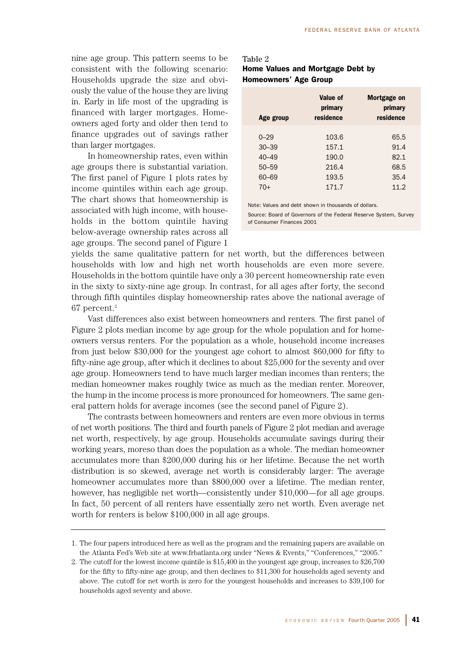nine age group. This pattern seems to be consistent with the following scenario: Households upgrade the size and obviously the value of the house they are living in. Early in life most of the upgrading is financed with larger mortgages. Homeowners aged forty and older then tend to finance upgrades out of savings rather than larger mortgages.

In homeownership rates, even within age groups there is substantial variation. The first panel of Figure 1 plots rates by income quintiles within each age group. The chart shows that homeownership is associated with high income, with households in the bottom quintile having below-average ownership rates across all age groups. The second panel of Figure 1

| Table 2                          |  |  |  |  |
|----------------------------------|--|--|--|--|
| Home Values and Mortgage Debt by |  |  |  |  |
| Homeowners' Age Group            |  |  |  |  |

| Age group | Value of<br>primary<br>residence | Mortgage on<br>primary<br>residence |
|-----------|----------------------------------|-------------------------------------|
|           |                                  |                                     |
| $0 - 29$  | 103.6                            | 65.5                                |
| $30 - 39$ | 157.1                            | 91.4                                |
| $40 - 49$ | 190.0                            | 82.1                                |
| $50 - 59$ | 216.4                            | 68.5                                |
| 60-69     | 193.5                            | 35.4                                |
| $70+$     | 171.7                            | 11.2                                |

Note: Values and debt shown in thousands of dollars.

Source: Board of Governors of the Federal Reserve System, Survey of Consumer Finances 2001

yields the same qualitative pattern for net worth, but the differences between households with low and high net worth households are even more severe. Households in the bottom quintile have only a 30 percent homeownership rate even in the sixty to sixty-nine age group. In contrast, for all ages after forty, the second through fifth quintiles display homeownership rates above the national average of 67 percent.2

Vast differences also exist between homeowners and renters. The first panel of Figure 2 plots median income by age group for the whole population and for homeowners versus renters. For the population as a whole, household income increases from just below \$30,000 for the youngest age cohort to almost \$60,000 for fifty to fifty-nine age group, after which it declines to about \$25,000 for the seventy and over age group. Homeowners tend to have much larger median incomes than renters; the median homeowner makes roughly twice as much as the median renter. Moreover, the hump in the income process is more pronounced for homeowners. The same general pattern holds for average incomes (see the second panel of Figure 2).

The contrasts between homeowners and renters are even more obvious in terms of net worth positions. The third and fourth panels of Figure 2 plot median and average net worth, respectively, by age group. Households accumulate savings during their working years, moreso than does the population as a whole. The median homeowner accumulates more than \$200,000 during his or her lifetime. Because the net worth distribution is so skewed, average net worth is considerably larger: The average homeowner accumulates more than \$800,000 over a lifetime. The median renter, however, has negligible net worth—consistently under \$10,000—for all age groups. In fact, 50 percent of all renters have essentially zero net worth. Even average net worth for renters is below \$100,000 in all age groups.

<sup>1.</sup> The four papers introduced here as well as the program and the remaining papers are available on the Atlanta Fed's Web site at www.frbatlanta.org under "News & Events," "Conferences," "2005."

<sup>2.</sup> The cutoff for the lowest income quintile is \$15,400 in the youngest age group, increases to \$26,700 for the fifty to fifty-nine age group, and then declines to \$11,300 for households aged seventy and above. The cutoff for net worth is zero for the youngest households and increases to \$39,100 for households aged seventy and above.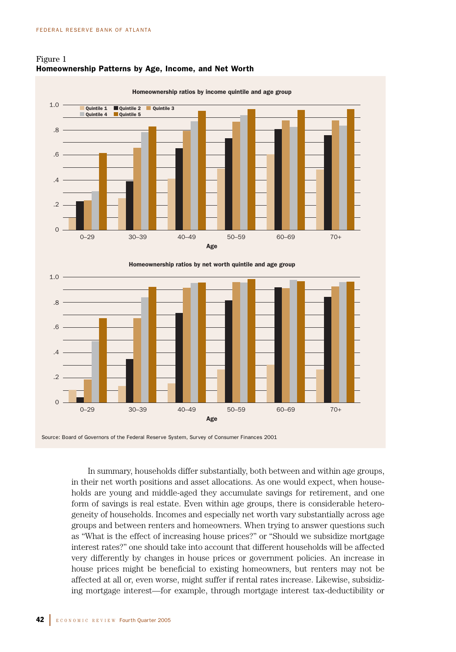.6

.4

 $\Omega$ 

 $\Omega$ 





Source: Board of Governors of the Federal Reserve System, Survey of Consumer Finances 2001

0–29 30–39 40–49 50–59

In summary, households differ substantially, both between and within age groups, in their net worth positions and asset allocations. As one would expect, when households are young and middle-aged they accumulate savings for retirement, and one form of savings is real estate. Even within age groups, there is considerable heterogeneity of households. Incomes and especially net worth vary substantially across age groups and between renters and homeowners. When trying to answer questions such as "What is the effect of increasing house prices?" or "Should we subsidize mortgage interest rates?" one should take into account that different households will be affected very differently by changes in house prices or government policies. An increase in house prices might be beneficial to existing homeowners, but renters may not be affected at all or, even worse, might suffer if rental rates increase. Likewise, subsidizing mortgage interest—for example, through mortgage interest tax-deductibility or

Age

60–69

70+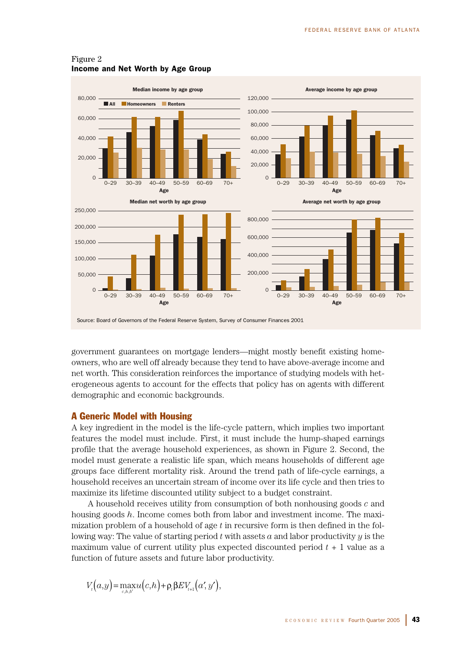

# Figure 2 Income and Net Worth by Age Group

government guarantees on mortgage lenders—might mostly benefit existing homeowners, who are well off already because they tend to have above-average income and net worth. This consideration reinforces the importance of studying models with heterogeneous agents to account for the effects that policy has on agents with different demographic and economic backgrounds.

# A Generic Model with Housing

A key ingredient in the model is the life-cycle pattern, which implies two important features the model must include. First, it must include the hump-shaped earnings profile that the average household experiences, as shown in Figure 2. Second, the model must generate a realistic life span, which means households of different age groups face different mortality risk. Around the trend path of life-cycle earnings, a household receives an uncertain stream of income over its life cycle and then tries to maximize its lifetime discounted utility subject to a budget constraint.

A household receives utility from consumption of both nonhousing goods *c* and housing goods *h*. Income comes both from labor and investment income. The maximization problem of a household of age *t* in recursive form is then defined in the following way: The value of starting period  $t$  with assets  $a$  and labor productivity  $y$  is the maximum value of current utility plus expected discounted period *t* + 1 value as a function of future assets and future labor productivity.

$$
V_{\iota}(a,y) = \max_{c,h,b'} u(c,h) + \rho_{\iota} \beta E V_{\iota+1}(a',y'),
$$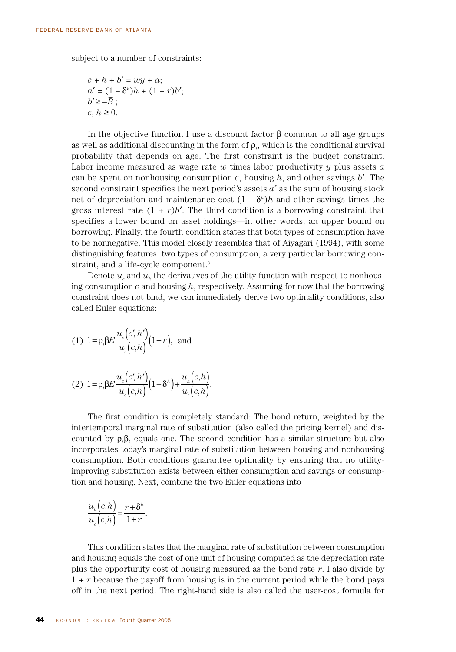subject to a number of constraints:

$$
c + h + b' = wy + a;
$$
  
\n
$$
a' = (1 - \delta^h)h + (1 + r)b';
$$
  
\n
$$
b' \ge -\overline{B};
$$
  
\n
$$
c, h \ge 0.
$$

In the objective function I use a discount factor  $\beta$  common to all age groups as well as additional discounting in the form of  $\rho_{\scriptscriptstyle D}$ , which is the conditional survival probability that depends on age. The first constraint is the budget constraint. Labor income measured as wage rate *w* times labor productivity *y* plus assets *a* can be spent on nonhousing consumption  $c$ , housing  $h$ , and other savings  $b'$ . The second constraint specifies the next period's assets *a*′ as the sum of housing stock net of depreciation and maintenance cost  $(1 - \delta^h)h$  and other savings times the gross interest rate  $(1 + r)b'$ . The third condition is a borrowing constraint that specifies a lower bound on asset holdings—in other words, an upper bound on borrowing. Finally, the fourth condition states that both types of consumption have to be nonnegative. This model closely resembles that of Aiyagari (1994), with some distinguishing features: two types of consumption, a very particular borrowing constraint, and a life-cycle component.<sup>3</sup>

Denote  $u_c$  and  $u_h$  the derivatives of the utility function with respect to nonhousing consumption *c* and housing *h*, respectively. Assuming for now that the borrowing constraint does not bind, we can immediately derive two optimality conditions, also called Euler equations:

(1) 
$$
1 = \rho_i \beta E \frac{u_e(c', h')}{u_e(c, h)} (1+r)
$$
, and

$$
(2) \ 1 = \rho_i \beta E \frac{u_c(c',h')}{u_c(c,h)} \left(1 - \delta^h\right) + \frac{u_h(c,h)}{u_c(c,h)}.
$$

The first condition is completely standard: The bond return, weighted by the intertemporal marginal rate of substitution (also called the pricing kernel) and discounted by ρ*<sup>t</sup>* β, equals one. The second condition has a similar structure but also incorporates today's marginal rate of substitution between housing and nonhousing consumption. Both conditions guarantee optimality by ensuring that no utilityimproving substitution exists between either consumption and savings or consumption and housing. Next, combine the two Euler equations into

$$
\frac{u_h(c,h)}{u_c(c,h)} = \frac{r+\delta^h}{1+r}.
$$

This condition states that the marginal rate of substitution between consumption and housing equals the cost of one unit of housing computed as the depreciation rate plus the opportunity cost of housing measured as the bond rate *r*. I also divide by 1 + *r* because the payoff from housing is in the current period while the bond pays off in the next period. The right-hand side is also called the user-cost formula for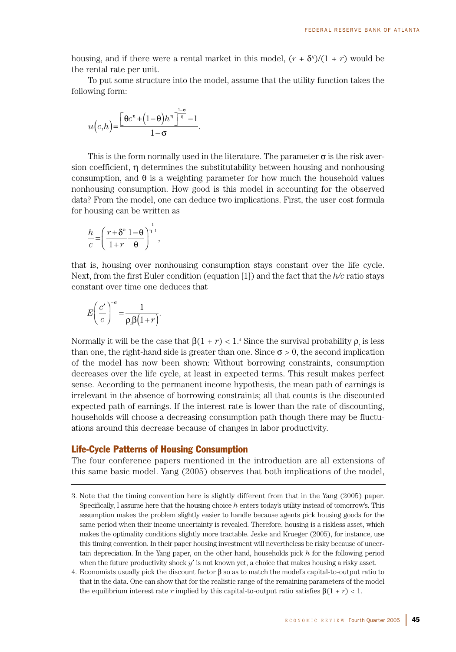housing, and if there were a rental market in this model,  $(r + \delta^h)/(1 + r)$  would be the rental rate per unit.

To put some structure into the model, assume that the utility function takes the following form:

$$
u(c,h) = \frac{\left[\Theta c^{n} + (1-\Theta)h^{n}\right]^{\frac{1-\sigma}{n}} - 1}{1-\sigma}.
$$

This is the form normally used in the literature. The parameter  $\sigma$  is the risk aversion coefficient, η determines the substitutability between housing and nonhousing consumption, and  $\theta$  is a weighting parameter for how much the household values nonhousing consumption. How good is this model in accounting for the observed data? From the model, one can deduce two implications. First, the user cost formula for housing can be written as

$$
\frac{h}{c} = \left(\frac{r+\delta^h}{1+r}\frac{1-\theta}{\theta}\right)^{\frac{1}{n-1}},
$$

that is, housing over nonhousing consumption stays constant over the life cycle. Next, from the first Euler condition (equation [1]) and the fact that the *h/c* ratio stays constant over time one deduces that

$$
E\left(\frac{c'}{c}\right)^{-\sigma} = \frac{1}{\rho_{\rho}\beta(1+r)}.
$$

Normally it will be the case that  $\beta(1 + r) < 1$ <sup>4</sup> Since the survival probability  $\rho$ , is less than one, the right-hand side is greater than one. Since  $\sigma > 0$ , the second implication of the model has now been shown: Without borrowing constraints, consumption decreases over the life cycle, at least in expected terms. This result makes perfect sense. According to the permanent income hypothesis, the mean path of earnings is irrelevant in the absence of borrowing constraints; all that counts is the discounted expected path of earnings. If the interest rate is lower than the rate of discounting, households will choose a decreasing consumption path though there may be fluctuations around this decrease because of changes in labor productivity.

# Life-Cycle Patterns of Housing Consumption

The four conference papers mentioned in the introduction are all extensions of this same basic model. Yang (2005) observes that both implications of the model,

- 3. Note that the timing convention here is slightly different from that in the Yang (2005) paper. Specifically, I assume here that the housing choice *h* enters today's utility instead of tomorrow's. This assumption makes the problem slightly easier to handle because agents pick housing goods for the same period when their income uncertainty is revealed. Therefore, housing is a riskless asset, which makes the optimality conditions slightly more tractable. Jeske and Krueger (2005), for instance, use this timing convention. In their paper housing investment will nevertheless be risky because of uncertain depreciation. In the Yang paper, on the other hand, households pick *h* for the following period when the future productivity shock *y*′ is not known yet, a choice that makes housing a risky asset.
- 4. Economists usually pick the discount factor β so as to match the model's capital-to-output ratio to that in the data. One can show that for the realistic range of the remaining parameters of the model the equilibrium interest rate *r* implied by this capital-to-output ratio satisfies  $\beta(1 + r) < 1$ .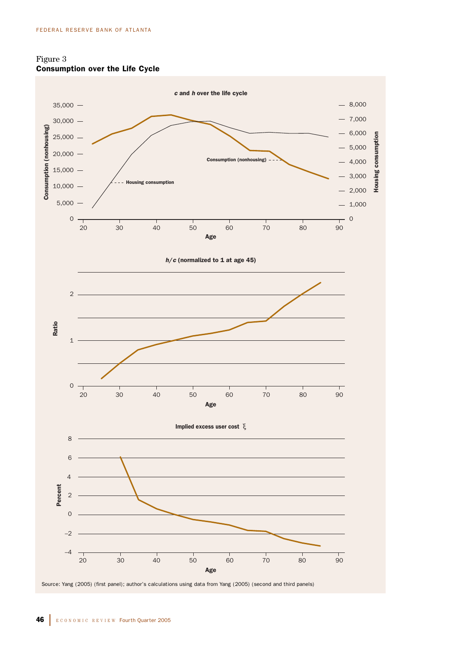

20 30 40 50 60 70 80

Source: Yang (2005) (first panel); author's calculations using data from Yang (2005) (second and third panels)

Age

 $\overline{90}$ 

Housing consumption

Housing

consumption



–4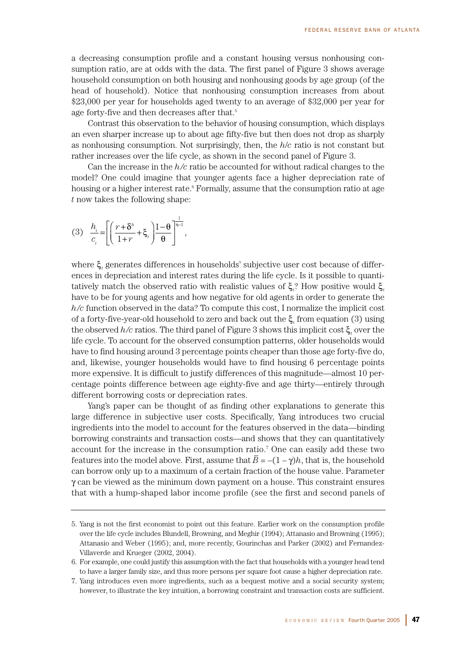a decreasing consumption profile and a constant housing versus nonhousing consumption ratio, are at odds with the data. The first panel of Figure 3 shows average household consumption on both housing and nonhousing goods by age group (of the head of household). Notice that nonhousing consumption increases from about \$23,000 per year for households aged twenty to an average of \$32,000 per year for age forty-five and then decreases after that.<sup>5</sup>

Contrast this observation to the behavior of housing consumption, which displays an even sharper increase up to about age fifty-five but then does not drop as sharply as nonhousing consumption. Not surprisingly, then, the *h*/*c* ratio is not constant but rather increases over the life cycle, as shown in the second panel of Figure 3.

Can the increase in the *h/c* ratio be accounted for without radical changes to the model? One could imagine that younger agents face a higher depreciation rate of housing or a higher interest rate.<sup>6</sup> Formally, assume that the consumption ratio at age *t* now takes the following shape:

(3) 
$$
\frac{h_i}{c_i} = \left[ \left( \frac{r + \delta^h}{1 + r} + \xi_i \right) \frac{1 - \theta}{\theta} \right]^{-1},
$$

where ξ*<sup>t</sup>* generates differences in households' subjective user cost because of differences in depreciation and interest rates during the life cycle. Is it possible to quantitatively match the observed ratio with realistic values of ξ*<sup>t</sup>* ? How positive would ξ*<sup>t</sup>* have to be for young agents and how negative for old agents in order to generate the *h/c* function observed in the data? To compute this cost, I normalize the implicit cost of a forty-five-year-old household to zero and back out the ξ*<sup>t</sup>* from equation (3) using the observed *h/c* ratios. The third panel of Figure 3 shows this implicit cost ξ*<sup>t</sup>* over the life cycle. To account for the observed consumption patterns, older households would have to find housing around 3 percentage points cheaper than those age forty-five do, and, likewise, younger households would have to find housing 6 percentage points more expensive. It is difficult to justify differences of this magnitude—almost 10 percentage points difference between age eighty-five and age thirty—entirely through different borrowing costs or depreciation rates.

Yang's paper can be thought of as finding other explanations to generate this large difference in subjective user costs. Specifically, Yang introduces two crucial ingredients into the model to account for the features observed in the data—binding borrowing constraints and transaction costs—and shows that they can quantitatively account for the increase in the consumption ratio.7 One can easily add these two features into the model above. First, assume that  $\overline{B} = -(1 - \gamma)h$ , that is, the household can borrow only up to a maximum of a certain fraction of the house value. Parameter  $\gamma$  can be viewed as the minimum down payment on a house. This constraint ensures that with a hump-shaped labor income profile (see the first and second panels of

<sup>5.</sup> Yang is not the first economist to point out this feature. Earlier work on the consumption profile over the life cycle includes Blundell, Browning, and Meghir (1994); Attanasio and Browning (1995); Attanasio and Weber (1995); and, more recently, Gourinchas and Parker (2002) and Fernandez-Villaverde and Krueger (2002, 2004).

<sup>6.</sup> For example, one could justify this assumption with the fact that households with a younger head tend to have a larger family size, and thus more persons per square foot cause a higher depreciation rate.

<sup>7.</sup> Yang introduces even more ingredients, such as a bequest motive and a social security system; however, to illustrate the key intuition, a borrowing constraint and transaction costs are sufficient.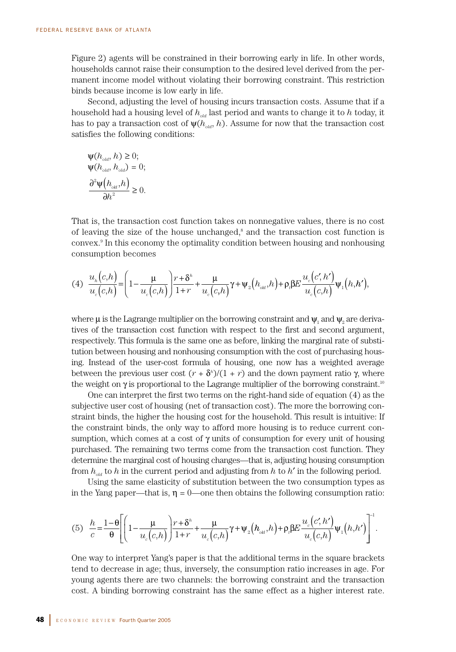Figure 2) agents will be constrained in their borrowing early in life. In other words, households cannot raise their consumption to the desired level derived from the permanent income model without violating their borrowing constraint. This restriction binds because income is low early in life.

Second, adjusting the level of housing incurs transaction costs. Assume that if a household had a housing level of  $h_{\text{old}}$  last period and wants to change it to h today, it has to pay a transaction cost of  $\psi(h_{\text{old}}, h)$ . Assume for now that the transaction cost satisfies the following conditions:

$$
\Psi(h_{old}, h) \ge 0;
$$
  
\n
$$
\Psi(h_{old}, h_{old}) = 0;
$$
  
\n
$$
\frac{\partial^2 \Psi(h_{old}, h)}{\partial h^2} \ge 0.
$$

That is, the transaction cost function takes on nonnegative values, there is no cost of leaving the size of the house unchanged, $^8$  and the transaction cost function is convex.9 In this economy the optimality condition between housing and nonhousing consumption becomes

$$
(4) \frac{u_{h}(c,h)}{u_{c}(c,h)} = \left(1 - \frac{\mu}{u_{c}(c,h)}\right) \frac{r + \delta^{h}}{1 + r} + \frac{\mu}{u_{c}(c,h)} \gamma + \psi_{2}\big(h_{\text{old}},h\big) + \rho_{i} \beta E \frac{u_{c}(c',h')}{u_{c}(c,h)} \psi_{1}\big(h,h'\big),
$$

where  $\mu$  is the Lagrange multiplier on the borrowing constraint and  $\psi$ , and  $\psi$ , are derivatives of the transaction cost function with respect to the first and second argument, respectively. This formula is the same one as before, linking the marginal rate of substitution between housing and nonhousing consumption with the cost of purchasing housing. Instead of the user-cost formula of housing, one now has a weighted average between the previous user cost  $(r + \delta^n)/(1 + r)$  and the down payment ratio  $\gamma$ , where the weight on  $\gamma$  is proportional to the Lagrange multiplier of the borrowing constraint.<sup>10</sup>

One can interpret the first two terms on the right-hand side of equation (4) as the subjective user cost of housing (net of transaction cost). The more the borrowing constraint binds, the higher the housing cost for the household. This result is intuitive: If the constraint binds, the only way to afford more housing is to reduce current consumption, which comes at a cost of  $\gamma$  units of consumption for every unit of housing purchased. The remaining two terms come from the transaction cost function. They determine the marginal cost of housing changes—that is, adjusting housing consumption from  $h_{\alpha d}$  to h in the current period and adjusting from h to h' in the following period.

Using the same elasticity of substitution between the two consumption types as in the Yang paper—that is,  $\eta = 0$ —one then obtains the following consumption ratio:

$$
(5) \frac{h}{c} = \frac{1-\theta}{\theta} \Bigg[ \left(1-\frac{\mu}{u_c(c,h)}\right) \frac{r+\delta^h}{1+r} + \frac{\mu}{u_c(c,h)} \gamma + \psi_2\big(h_{\text{old}},h\big) + \rho_i \beta E \frac{u_c(c',h')}{u_c(c,h)} \psi_1\big(h,h'\big) \Bigg]^{-1}.
$$

One way to interpret Yang's paper is that the additional terms in the square brackets tend to decrease in age; thus, inversely, the consumption ratio increases in age. For young agents there are two channels: the borrowing constraint and the transaction cost. A binding borrowing constraint has the same effect as a higher interest rate.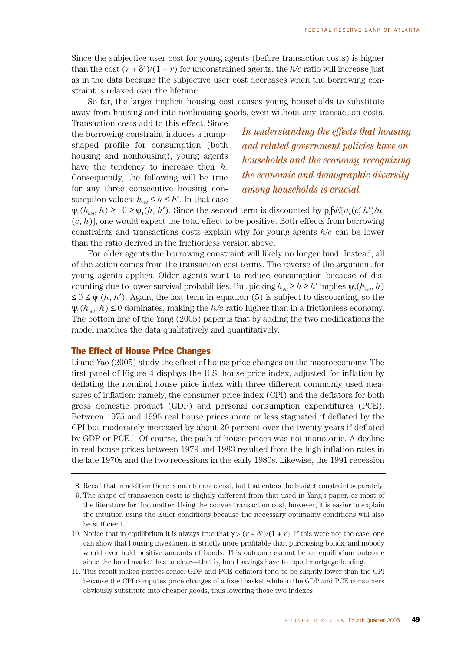Since the subjective user cost for young agents (before transaction costs) is higher than the cost  $(r + \delta^i)/(1 + r)$  for unconstrained agents, the  $h/c$  ratio will increase just as in the data because the subjective user cost decreases when the borrowing constraint is relaxed over the lifetime.

So far, the larger implicit housing cost causes young households to substitute away from housing and into nonhousing goods, even without any transaction costs.

Transaction costs add to this effect. Since the borrowing constraint induces a humpshaped profile for consumption (both housing and nonhousing), young agents have the tendency to increase their *h*. Consequently, the following will be true for any three consecutive housing consumption values:  $h_{dd} \leq h \leq h'$ . In that case

*In understanding the effects that housing and related government policies have on households and the economy, recognizing the economic and demographic diversity among households is crucial.*

 $\psi_2(h_{\text{old}}, h) \geq 0 \geq \psi_1(h, h')$ . Since the second term is discounted by  $\rho_1 \beta E[u_c(c', h')/u_c]$ (*c*, *h*)], one would expect the total effect to be positive. Both effects from borrowing constraints and transactions costs explain why for young agents *h*/*c* can be lower than the ratio derived in the frictionless version above.

For older agents the borrowing constraint will likely no longer bind. Instead, all of the action comes from the transaction cost terms. The reverse of the argument for young agents applies. Older agents want to reduce consumption because of discounting due to lower survival probabilities. But picking  $h_{dd} \geq h \geq h'$  implies  $\psi_{\rho}(h_{dd}, h)$ ≤ 0 ≤  $\psi_1(h, h')$ . Again, the last term in equation (5) is subject to discounting, so the  $\psi_{\nu}(h_{\text{old}}, h) \leq 0$  dominates, making the  $h/c$  ratio higher than in a frictionless economy. The bottom line of the Yang (2005) paper is that by adding the two modifications the model matches the data qualitatively and quantitatively.

# The Effect of House Price Changes

Li and Yao (2005) study the effect of house price changes on the macroeconomy. The first panel of Figure 4 displays the U.S. house price index, adjusted for inflation by deflating the nominal house price index with three different commonly used measures of inflation: namely, the consumer price index (CPI) and the deflators for both gross domestic product (GDP) and personal consumption expenditures (PCE). Between 1975 and 1995 real house prices more or less stagnated if deflated by the CPI but moderately increased by about 20 percent over the twenty years if deflated by GDP or PCE.<sup>11</sup> Of course, the path of house prices was not monotonic. A decline in real house prices between 1979 and 1983 resulted from the high inflation rates in the late 1970s and the two recessions in the early 1980s. Likewise, the 1991 recession

<sup>8.</sup> Recall that in addition there is maintenance cost, but that enters the budget constraint separately.

<sup>9.</sup> The shape of transaction costs is slightly different from that used in Yang's paper, or most of the literature for that matter. Using the convex transaction cost, however, it is easier to explain the intuition using the Euler conditions because the necessary optimality conditions will also be sufficient.

<sup>10.</sup> Notice that in equilibrium it is always true that  $\gamma$  >  $(r + \delta^n)/(1 + r)$ . If this were not the case, one can show that housing investment is strictly more profitable than purchasing bonds, and nobody would ever hold positive amounts of bonds. This outcome cannot be an equilibrium outcome since the bond market has to clear—that is, bond savings have to equal mortgage lending.

<sup>11.</sup> This result makes perfect sense: GDP and PCE deflators tend to be slightly lower than the CPI because the CPI computes price changes of a fixed basket while in the GDP and PCE consumers obviously substitute into cheaper goods, thus lowering those two indexes.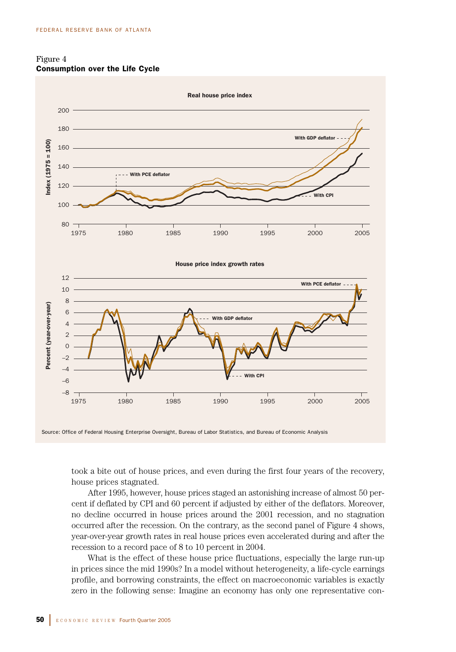



took a bite out of house prices, and even during the first four years of the recovery, house prices stagnated.

After 1995, however, house prices staged an astonishing increase of almost 50 percent if deflated by CPI and 60 percent if adjusted by either of the deflators. Moreover, no decline occurred in house prices around the 2001 recession, and no stagnation occurred after the recession. On the contrary, as the second panel of Figure 4 shows, year-over-year growth rates in real house prices even accelerated during and after the recession to a record pace of 8 to 10 percent in 2004.

What is the effect of these house price fluctuations, especially the large run-up in prices since the mid 1990s? In a model without heterogeneity, a life-cycle earnings profile, and borrowing constraints, the effect on macroeconomic variables is exactly zero in the following sense: Imagine an economy has only one representative con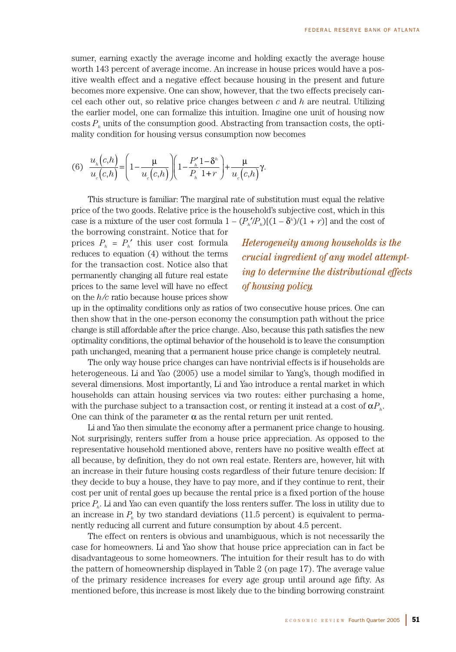sumer, earning exactly the average income and holding exactly the average house worth 143 percent of average income. An increase in house prices would have a positive wealth effect and a negative effect because housing in the present and future becomes more expensive. One can show, however, that the two effects precisely cancel each other out, so relative price changes between *c* and *h* are neutral. Utilizing the earlier model, one can formalize this intuition. Imagine one unit of housing now costs *Ph* units of the consumption good. Abstracting from transaction costs, the optimality condition for housing versus consumption now becomes

$$
(6) \frac{u_h(c,h)}{u_c(c,h)} = \left(1 - \frac{\mu}{u_c(c,h)}\right)\left(1 - \frac{P_h'}{P_h}\frac{1 - \delta^h}{1 + r}\right) + \frac{\mu}{u_c(c,h)}\gamma.
$$

This structure is familiar: The marginal rate of substitution must equal the relative price of the two goods. Relative price is the household's subjective cost, which in this case is a mixture of the user cost formula  $1 - (P_n/P_n)[(1 - \delta^n)/(1 + r)]$  and the cost of

the borrowing constraint. Notice that for prices  $P_h = P_h'$  this user cost formula reduces to equation (4) without the terms for the transaction cost. Notice also that permanently changing all future real estate prices to the same level will have no effect on the *h/c* ratio because house prices show

# *Heterogeneity among households is the crucial ingredient of any model attempting to determine the distributional effects of housing policy.*

up in the optimality conditions only as ratios of two consecutive house prices. One can then show that in the one-person economy the consumption path without the price change is still affordable after the price change. Also, because this path satisfies the new optimality conditions, the optimal behavior of the household is to leave the consumption path unchanged, meaning that a permanent house price change is completely neutral.

The only way house price changes can have nontrivial effects is if households are heterogeneous. Li and Yao (2005) use a model similar to Yang's, though modified in several dimensions. Most importantly, Li and Yao introduce a rental market in which households can attain housing services via two routes: either purchasing a home, with the purchase subject to a transaction cost, or renting it instead at a cost of  $\alpha P_h$ . One can think of the parameter  $\alpha$  as the rental return per unit rented.

Li and Yao then simulate the economy after a permanent price change to housing. Not surprisingly, renters suffer from a house price appreciation. As opposed to the representative household mentioned above, renters have no positive wealth effect at all because, by definition, they do not own real estate. Renters are, however, hit with an increase in their future housing costs regardless of their future tenure decision: If they decide to buy a house, they have to pay more, and if they continue to rent, their cost per unit of rental goes up because the rental price is a fixed portion of the house price *Ph*. Li and Yao can even quantify the loss renters suffer. The loss in utility due to an increase in  $P<sub>b</sub>$  by two standard deviations (11.5 percent) is equivalent to permanently reducing all current and future consumption by about 4.5 percent.

The effect on renters is obvious and unambiguous, which is not necessarily the case for homeowners. Li and Yao show that house price appreciation can in fact be disadvantageous to some homeowners. The intuition for their result has to do with the pattern of homeownership displayed in Table 2 (on page 17). The average value of the primary residence increases for every age group until around age fifty. As mentioned before, this increase is most likely due to the binding borrowing constraint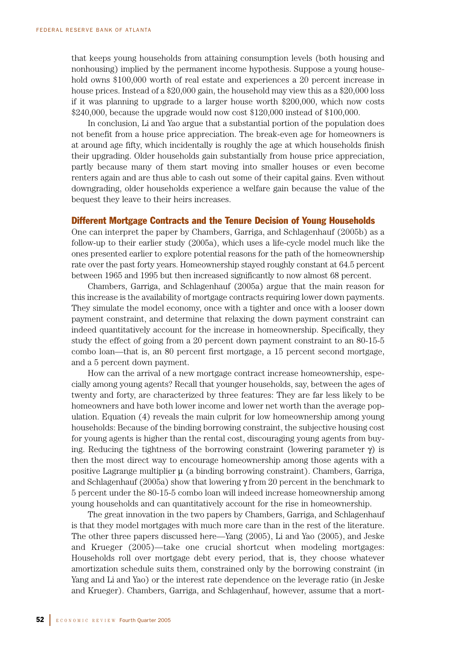that keeps young households from attaining consumption levels (both housing and nonhousing) implied by the permanent income hypothesis. Suppose a young household owns \$100,000 worth of real estate and experiences a 20 percent increase in house prices. Instead of a \$20,000 gain, the household may view this as a \$20,000 loss if it was planning to upgrade to a larger house worth \$200,000, which now costs \$240,000, because the upgrade would now cost \$120,000 instead of \$100,000.

In conclusion, Li and Yao argue that a substantial portion of the population does not benefit from a house price appreciation. The break-even age for homeowners is at around age fifty, which incidentally is roughly the age at which households finish their upgrading. Older households gain substantially from house price appreciation, partly because many of them start moving into smaller houses or even become renters again and are thus able to cash out some of their capital gains. Even without downgrading, older households experience a welfare gain because the value of the bequest they leave to their heirs increases.

# Different Mortgage Contracts and the Tenure Decision of Young Households

One can interpret the paper by Chambers, Garriga, and Schlagenhauf (2005b) as a follow-up to their earlier study (2005a), which uses a life-cycle model much like the ones presented earlier to explore potential reasons for the path of the homeownership rate over the past forty years. Homeownership stayed roughly constant at 64.5 percent between 1965 and 1995 but then increased significantly to now almost 68 percent.

Chambers, Garriga, and Schlagenhauf (2005a) argue that the main reason for this increase is the availability of mortgage contracts requiring lower down payments. They simulate the model economy, once with a tighter and once with a looser down payment constraint, and determine that relaxing the down payment constraint can indeed quantitatively account for the increase in homeownership. Specifically, they study the effect of going from a 20 percent down payment constraint to an 80-15-5 combo loan—that is, an 80 percent first mortgage, a 15 percent second mortgage, and a 5 percent down payment.

How can the arrival of a new mortgage contract increase homeownership, especially among young agents? Recall that younger households, say, between the ages of twenty and forty, are characterized by three features: They are far less likely to be homeowners and have both lower income and lower net worth than the average population. Equation (4) reveals the main culprit for low homeownership among young households: Because of the binding borrowing constraint, the subjective housing cost for young agents is higher than the rental cost, discouraging young agents from buying. Reducing the tightness of the borrowing constraint (lowering parameter  $\gamma$ ) is then the most direct way to encourage homeownership among those agents with a positive Lagrange multiplier  $\mu$  (a binding borrowing constraint). Chambers, Garriga, and Schlagenhauf (2005a) show that lowering  $\gamma$  from 20 percent in the benchmark to 5 percent under the 80-15-5 combo loan will indeed increase homeownership among young households and can quantitatively account for the rise in homeownership.

The great innovation in the two papers by Chambers, Garriga, and Schlagenhauf is that they model mortgages with much more care than in the rest of the literature. The other three papers discussed here—Yang (2005), Li and Yao (2005), and Jeske and Krueger (2005)—take one crucial shortcut when modeling mortgages: Households roll over mortgage debt every period, that is, they choose whatever amortization schedule suits them, constrained only by the borrowing constraint (in Yang and Li and Yao) or the interest rate dependence on the leverage ratio (in Jeske and Krueger). Chambers, Garriga, and Schlagenhauf, however, assume that a mort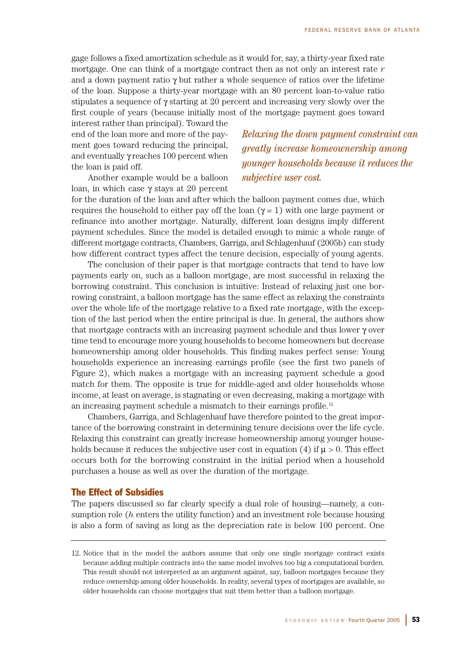gage follows a fixed amortization schedule as it would for, say, a thirty-year fixed rate mortgage. One can think of a mortgage contract then as not only an interest rate *r* and a down payment ratio  $\gamma$  but rather a whole sequence of ratios over the lifetime of the loan. Suppose a thirty-year mortgage with an 80 percent loan-to-value ratio stipulates a sequence of  $\gamma$  starting at 20 percent and increasing very slowly over the first couple of years (because initially most of the mortgage payment goes toward

interest rather than principal). Toward the end of the loan more and more of the payment goes toward reducing the principal, and eventually  $\gamma$  reaches 100 percent when the loan is paid off.

Another example would be a balloon loan, in which case γ stays at 20 percent *Relaxing the down payment constraint can greatly increase homeownership among younger households because it reduces the subjective user cost.*

for the duration of the loan and after which the balloon payment comes due, which requires the household to either pay off the loan (γ = 1) with one large payment or refinance into another mortgage. Naturally, different loan designs imply different payment schedules. Since the model is detailed enough to mimic a whole range of different mortgage contracts, Chambers, Garriga, and Schlagenhauf (2005b) can study how different contract types affect the tenure decision, especially of young agents.

The conclusion of their paper is that mortgage contracts that tend to have low payments early on, such as a balloon mortgage, are most successful in relaxing the borrowing constraint. This conclusion is intuitive: Instead of relaxing just one borrowing constraint, a balloon mortgage has the same effect as relaxing the constraints over the whole life of the mortgage relative to a fixed rate mortgage, with the exception of the last period when the entire principal is due. In general, the authors show that mortgage contracts with an increasing payment schedule and thus lower γ over time tend to encourage more young households to become homeowners but decrease homeownership among older households. This finding makes perfect sense: Young households experience an increasing earnings profile (see the first two panels of Figure 2), which makes a mortgage with an increasing payment schedule a good match for them. The opposite is true for middle-aged and older households whose income, at least on average, is stagnating or even decreasing, making a mortgage with an increasing payment schedule a mismatch to their earnings profile.12

Chambers, Garriga, and Schlagenhauf have therefore pointed to the great importance of the borrowing constraint in determining tenure decisions over the life cycle. Relaxing this constraint can greatly increase homeownership among younger households because it reduces the subjective user cost in equation (4) if  $\mu > 0$ . This effect occurs both for the borrowing constraint in the initial period when a household purchases a house as well as over the duration of the mortgage.

# The Effect of Subsidies

The papers discussed so far clearly specify a dual role of housing—namely, a consumption role (*h* enters the utility function) and an investment role because housing is also a form of saving as long as the depreciation rate is below 100 percent. One

<sup>12.</sup> Notice that in the model the authors assume that only one single mortgage contract exists because adding multiple contracts into the same model involves too big a computational burden. This result should not interpreted as an argument against, say, balloon mortgages because they reduce ownership among older households. In reality, several types of mortgages are available, so older households can choose mortgages that suit them better than a balloon mortgage.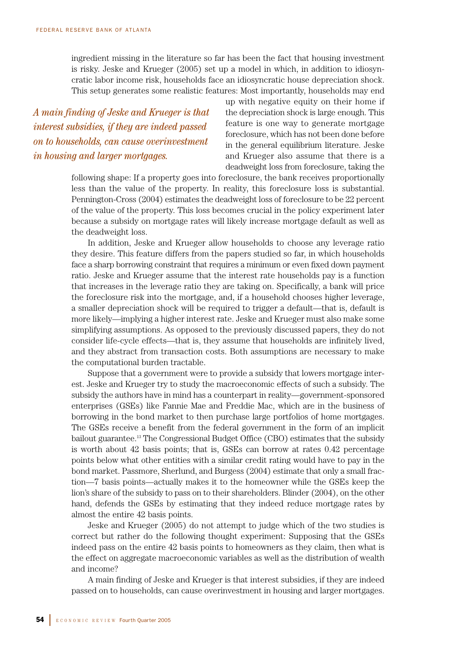ingredient missing in the literature so far has been the fact that housing investment is risky. Jeske and Krueger (2005) set up a model in which, in addition to idiosyncratic labor income risk, households face an idiosyncratic house depreciation shock. This setup generates some realistic features: Most importantly, households may end

*A main finding of Jeske and Krueger is that interest subsidies, if they are indeed passed on to households, can cause overinvestment in housing and larger mortgages.*

up with negative equity on their home if the depreciation shock is large enough. This feature is one way to generate mortgage foreclosure, which has not been done before in the general equilibrium literature. Jeske and Krueger also assume that there is a deadweight loss from foreclosure, taking the

following shape: If a property goes into foreclosure, the bank receives proportionally less than the value of the property. In reality, this foreclosure loss is substantial. Pennington-Cross (2004) estimates the deadweight loss of foreclosure to be 22 percent of the value of the property. This loss becomes crucial in the policy experiment later because a subsidy on mortgage rates will likely increase mortgage default as well as the deadweight loss.

In addition, Jeske and Krueger allow households to choose any leverage ratio they desire. This feature differs from the papers studied so far, in which households face a sharp borrowing constraint that requires a minimum or even fixed down payment ratio. Jeske and Krueger assume that the interest rate households pay is a function that increases in the leverage ratio they are taking on. Specifically, a bank will price the foreclosure risk into the mortgage, and, if a household chooses higher leverage, a smaller depreciation shock will be required to trigger a default—that is, default is more likely—implying a higher interest rate. Jeske and Krueger must also make some simplifying assumptions. As opposed to the previously discussed papers, they do not consider life-cycle effects—that is, they assume that households are infinitely lived, and they abstract from transaction costs. Both assumptions are necessary to make the computational burden tractable.

Suppose that a government were to provide a subsidy that lowers mortgage interest. Jeske and Krueger try to study the macroeconomic effects of such a subsidy. The subsidy the authors have in mind has a counterpart in reality—government-sponsored enterprises (GSEs) like Fannie Mae and Freddie Mac, which are in the business of borrowing in the bond market to then purchase large portfolios of home mortgages. The GSEs receive a benefit from the federal government in the form of an implicit bailout guarantee.13 The Congressional Budget Office (CBO) estimates that the subsidy is worth about 42 basis points; that is, GSEs can borrow at rates 0.42 percentage points below what other entities with a similar credit rating would have to pay in the bond market. Passmore, Sherlund, and Burgess (2004) estimate that only a small fraction—7 basis points—actually makes it to the homeowner while the GSEs keep the lion's share of the subsidy to pass on to their shareholders. Blinder (2004), on the other hand, defends the GSEs by estimating that they indeed reduce mortgage rates by almost the entire 42 basis points.

Jeske and Krueger (2005) do not attempt to judge which of the two studies is correct but rather do the following thought experiment: Supposing that the GSEs indeed pass on the entire 42 basis points to homeowners as they claim, then what is the effect on aggregate macroeconomic variables as well as the distribution of wealth and income?

A main finding of Jeske and Krueger is that interest subsidies, if they are indeed passed on to households, can cause overinvestment in housing and larger mortgages.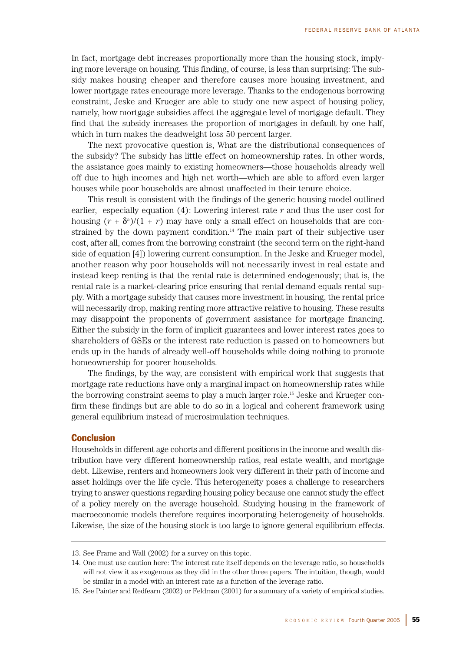In fact, mortgage debt increases proportionally more than the housing stock, implying more leverage on housing. This finding, of course, is less than surprising: The subsidy makes housing cheaper and therefore causes more housing investment, and lower mortgage rates encourage more leverage. Thanks to the endogenous borrowing constraint, Jeske and Krueger are able to study one new aspect of housing policy, namely, how mortgage subsidies affect the aggregate level of mortgage default. They find that the subsidy increases the proportion of mortgages in default by one half, which in turn makes the deadweight loss 50 percent larger.

The next provocative question is, What are the distributional consequences of the subsidy? The subsidy has little effect on homeownership rates. In other words, the assistance goes mainly to existing homeowners—those households already well off due to high incomes and high net worth—which are able to afford even larger houses while poor households are almost unaffected in their tenure choice.

This result is consistent with the findings of the generic housing model outlined earlier, especially equation  $(4)$ : Lowering interest rate  $r$  and thus the user cost for housing  $(r + \delta^n)/(1 + r)$  may have only a small effect on households that are constrained by the down payment condition.<sup>14</sup> The main part of their subjective user cost, after all, comes from the borrowing constraint (the second term on the right-hand side of equation [4]) lowering current consumption. In the Jeske and Krueger model, another reason why poor households will not necessarily invest in real estate and instead keep renting is that the rental rate is determined endogenously; that is, the rental rate is a market-clearing price ensuring that rental demand equals rental supply. With a mortgage subsidy that causes more investment in housing, the rental price will necessarily drop, making renting more attractive relative to housing. These results may disappoint the proponents of government assistance for mortgage financing. Either the subsidy in the form of implicit guarantees and lower interest rates goes to shareholders of GSEs or the interest rate reduction is passed on to homeowners but ends up in the hands of already well-off households while doing nothing to promote homeownership for poorer households.

The findings, by the way, are consistent with empirical work that suggests that mortgage rate reductions have only a marginal impact on homeownership rates while the borrowing constraint seems to play a much larger role.15 Jeske and Krueger confirm these findings but are able to do so in a logical and coherent framework using general equilibrium instead of microsimulation techniques.

# **Conclusion**

Households in different age cohorts and different positions in the income and wealth distribution have very different homeownership ratios, real estate wealth, and mortgage debt. Likewise, renters and homeowners look very different in their path of income and asset holdings over the life cycle. This heterogeneity poses a challenge to researchers trying to answer questions regarding housing policy because one cannot study the effect of a policy merely on the average household. Studying housing in the framework of macroeconomic models therefore requires incorporating heterogeneity of households. Likewise, the size of the housing stock is too large to ignore general equilibrium effects.

<sup>13.</sup> See Frame and Wall (2002) for a survey on this topic.

<sup>14.</sup> One must use caution here: The interest rate itself depends on the leverage ratio, so households will not view it as exogenous as they did in the other three papers. The intuition, though, would be similar in a model with an interest rate as a function of the leverage ratio.

<sup>15.</sup> See Painter and Redfearn (2002) or Feldman (2001) for a summary of a variety of empirical studies.